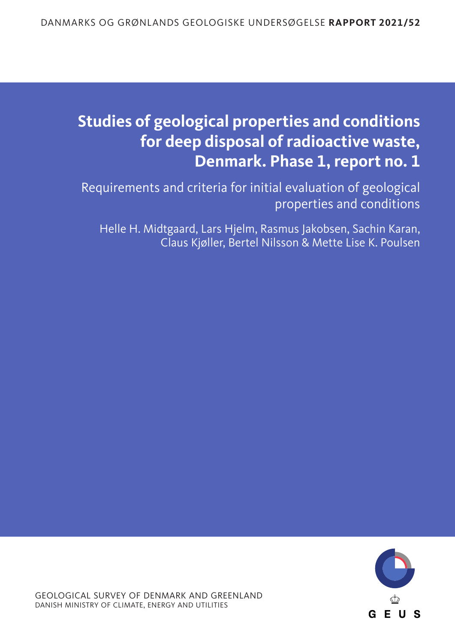# **Studies of geological properties and conditions for deep disposal of radioactive waste, Denmark. Phase 1, report no. 1**

Requirements and criteria for initial evaluation of geological properties and conditions

Helle H. Midtgaard, Lars Hjelm, Rasmus Jakobsen, Sachin Karan, Claus Kjøller, Bertel Nilsson & Mette Lise K. Poulsen

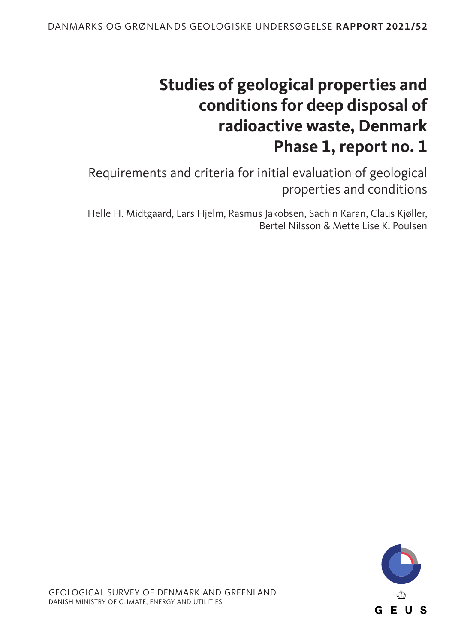# **Studies of geological properties and conditions for deep disposal of radioactive waste, Denmark Phase 1, report no. 1**

Requirements and criteria for initial evaluation of geological properties and conditions

Helle H. Midtgaard, Lars Hjelm, Rasmus Jakobsen, Sachin Karan, Claus Kjøller, Bertel Nilsson & Mette Lise K. Poulsen

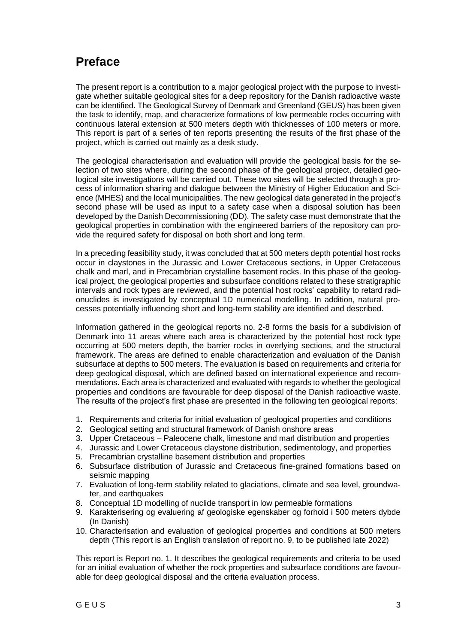## **Preface**

The present report is a contribution to a major geological project with the purpose to investigate whether suitable geological sites for a deep repository for the Danish radioactive waste can be identified. The Geological Survey of Denmark and Greenland (GEUS) has been given the task to identify, map, and characterize formations of low permeable rocks occurring with continuous lateral extension at 500 meters depth with thicknesses of 100 meters or more. This report is part of a series of ten reports presenting the results of the first phase of the project, which is carried out mainly as a desk study.

The geological characterisation and evaluation will provide the geological basis for the selection of two sites where, during the second phase of the geological project, detailed geological site investigations will be carried out. These two sites will be selected through a process of information sharing and dialogue between the Ministry of Higher Education and Science (MHES) and the local municipalities. The new geological data generated in the project's second phase will be used as input to a safety case when a disposal solution has been developed by the Danish Decommissioning (DD). The safety case must demonstrate that the geological properties in combination with the engineered barriers of the repository can provide the required safety for disposal on both short and long term.

In a preceding feasibility study, it was concluded that at 500 meters depth potential host rocks occur in claystones in the Jurassic and Lower Cretaceous sections, in Upper Cretaceous chalk and marl, and in Precambrian crystalline basement rocks. In this phase of the geological project, the geological properties and subsurface conditions related to these stratigraphic intervals and rock types are reviewed, and the potential host rocks' capability to retard radionuclides is investigated by conceptual 1D numerical modelling. In addition, natural processes potentially influencing short and long-term stability are identified and described.

Information gathered in the geological reports no. 2-8 forms the basis for a subdivision of Denmark into 11 areas where each area is characterized by the potential host rock type occurring at 500 meters depth, the barrier rocks in overlying sections, and the structural framework. The areas are defined to enable characterization and evaluation of the Danish subsurface at depths to 500 meters. The evaluation is based on requirements and criteria for deep geological disposal, which are defined based on international experience and recommendations. Each area is characterized and evaluated with regards to whether the geological properties and conditions are favourable for deep disposal of the Danish radioactive waste. The results of the project's first phase are presented in the following ten geological reports:

- 1. Requirements and criteria for initial evaluation of geological properties and conditions
- 2. Geological setting and structural framework of Danish onshore areas
- 3. Upper Cretaceous Paleocene chalk, limestone and marl distribution and properties
- 4. Jurassic and Lower Cretaceous claystone distribution, sedimentology, and properties
- 5. Precambrian crystalline basement distribution and properties
- 6. Subsurface distribution of Jurassic and Cretaceous fine-grained formations based on seismic mapping
- 7. Evaluation of long-term stability related to glaciations, climate and sea level, groundwater, and earthquakes
- 8. Conceptual 1D modelling of nuclide transport in low permeable formations
- 9. Karakterisering og evaluering af geologiske egenskaber og forhold i 500 meters dybde (In Danish)
- 10. Characterisation and evaluation of geological properties and conditions at 500 meters depth (This report is an English translation of report no. 9, to be published late 2022)

This report is Report no. 1. It describes the geological requirements and criteria to be used for an initial evaluation of whether the rock properties and subsurface conditions are favourable for deep geological disposal and the criteria evaluation process.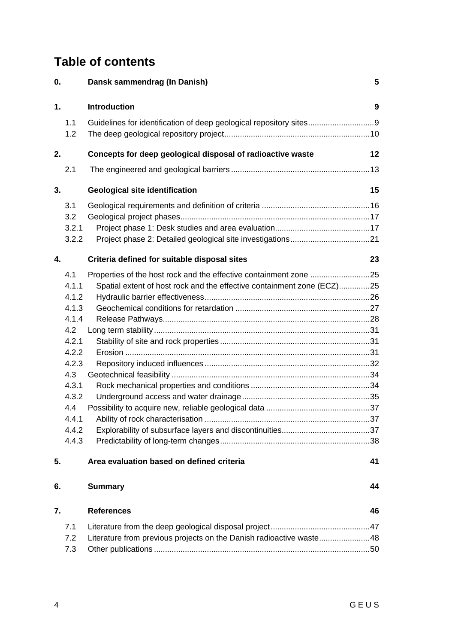# **Table of contents**

| 0. |       | Dansk sammendrag (In Danish)                                           | 5  |
|----|-------|------------------------------------------------------------------------|----|
| 1. |       | <b>Introduction</b>                                                    | 9  |
|    | 1.1   |                                                                        |    |
|    | 1.2   |                                                                        |    |
| 2. |       | Concepts for deep geological disposal of radioactive waste             | 12 |
|    | 2.1   |                                                                        |    |
| 3. |       | <b>Geological site identification</b>                                  | 15 |
|    | 3.1   |                                                                        |    |
|    | 3.2   |                                                                        |    |
|    | 3.2.1 |                                                                        |    |
|    | 3.2.2 |                                                                        |    |
| 4. |       | Criteria defined for suitable disposal sites                           | 23 |
|    | 4.1   | Properties of the host rock and the effective containment zone 25      |    |
|    | 4.1.1 | Spatial extent of host rock and the effective containment zone (ECZ)25 |    |
|    | 4.1.2 |                                                                        |    |
|    | 4.1.3 |                                                                        |    |
|    | 4.1.4 |                                                                        |    |
|    | 4.2   |                                                                        |    |
|    | 4.2.1 |                                                                        |    |
|    | 4.2.2 |                                                                        |    |
|    | 4.2.3 |                                                                        |    |
|    | 4.3   |                                                                        |    |
|    | 4.3.1 |                                                                        |    |
|    | 4.3.2 |                                                                        |    |
|    | 4.4   |                                                                        |    |
|    | 441   | Ability of rock characterisation                                       |    |
|    | 4.4.2 |                                                                        |    |
|    | 4.4.3 |                                                                        |    |
| 5. |       | Area evaluation based on defined criteria                              | 41 |
| 6. |       | <b>Summary</b>                                                         | 44 |
| 7. |       | <b>References</b>                                                      | 46 |
|    | 7.1   |                                                                        |    |
|    | 7.2   | Literature from previous projects on the Danish radioactive waste48    |    |
|    | 7.3   |                                                                        |    |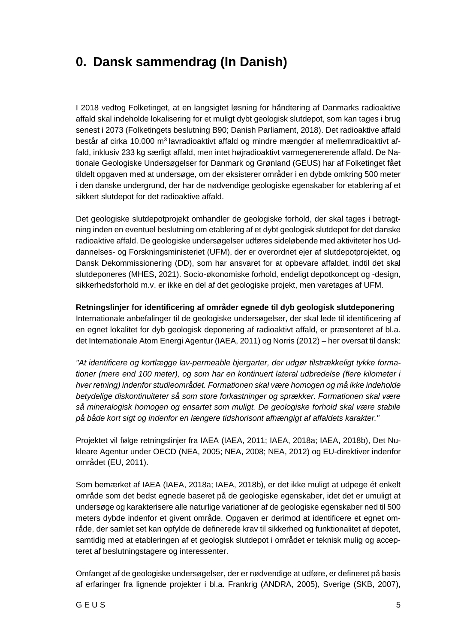# <span id="page-6-0"></span>**0. Dansk sammendrag (In Danish)**

I 2018 vedtog Folketinget, at en langsigtet løsning for håndtering af Danmarks radioaktive affald skal indeholde lokalisering for et muligt dybt geologisk slutdepot, som kan tages i brug senest i 2073 (Folketingets beslutning B90; Danish Parliament, 2018). Det radioaktive affald består af cirka 10.000 m<sup>3</sup> lavradioaktivt affald og mindre mængder af mellemradioaktivt affald, inklusiv 233 kg særligt affald, men intet højradioaktivt varmegenererende affald. De Nationale Geologiske Undersøgelser for Danmark og Grønland (GEUS) har af Folketinget fået tildelt opgaven med at undersøge, om der eksisterer områder i en dybde omkring 500 meter i den danske undergrund, der har de nødvendige geologiske egenskaber for etablering af et sikkert slutdepot for det radioaktive affald.

Det geologiske slutdepotprojekt omhandler de geologiske forhold, der skal tages i betragtning inden en eventuel beslutning om etablering af et dybt geologisk slutdepot for det danske radioaktive affald. De geologiske undersøgelser udføres sideløbende med aktiviteter hos Uddannelses- og Forskningsministeriet (UFM), der er overordnet ejer af slutdepotprojektet, og Dansk Dekommissionering (DD), som har ansvaret for at opbevare affaldet, indtil det skal slutdeponeres (MHES, 2021). Socio-økonomiske forhold, endeligt depotkoncept og -design, sikkerhedsforhold m.v. er ikke en del af det geologiske projekt, men varetages af UFM.

**Retningslinjer for identificering af områder egnede til dyb geologisk slutdeponering** Internationale anbefalinger til de geologiske undersøgelser, der skal lede til identificering af en egnet lokalitet for dyb geologisk deponering af radioaktivt affald, er præsenteret af bl.a. det Internationale Atom Energi Agentur (IAEA, 2011) og Norris (2012) – her oversat til dansk:

*"At identificere og kortlægge lav-permeable bjergarter, der udgør tilstrækkeligt tykke formationer (mere end 100 meter), og som har en kontinuert lateral udbredelse (flere kilometer i hver retning) indenfor studieområdet. Formationen skal være homogen og må ikke indeholde betydelige diskontinuiteter så som store forkastninger og sprækker. Formationen skal være så mineralogisk homogen og ensartet som muligt. De geologiske forhold skal være stabile på både kort sigt og indenfor en længere tidshorisont afhængigt af affaldets karakter."* 

Projektet vil følge retningslinjer fra IAEA (IAEA, 2011; IAEA, 2018a; IAEA, 2018b), Det Nukleare Agentur under OECD (NEA, 2005; NEA, 2008; NEA, 2012) og EU-direktiver indenfor området (EU, 2011).

Som bemærket af IAEA (IAEA, 2018a; IAEA, 2018b), er det ikke muligt at udpege ét enkelt område som det bedst egnede baseret på de geologiske egenskaber, idet det er umuligt at undersøge og karakterisere alle naturlige variationer af de geologiske egenskaber ned til 500 meters dybde indenfor et givent område. Opgaven er derimod at identificere et egnet område, der samlet set kan opfylde de definerede krav til sikkerhed og funktionalitet af depotet, samtidig med at etableringen af et geologisk slutdepot i området er teknisk mulig og accepteret af beslutningstagere og interessenter.

Omfanget af de geologiske undersøgelser, der er nødvendige at udføre, er defineret på basis af erfaringer fra lignende projekter i bl.a. Frankrig (ANDRA, 2005), Sverige (SKB, 2007),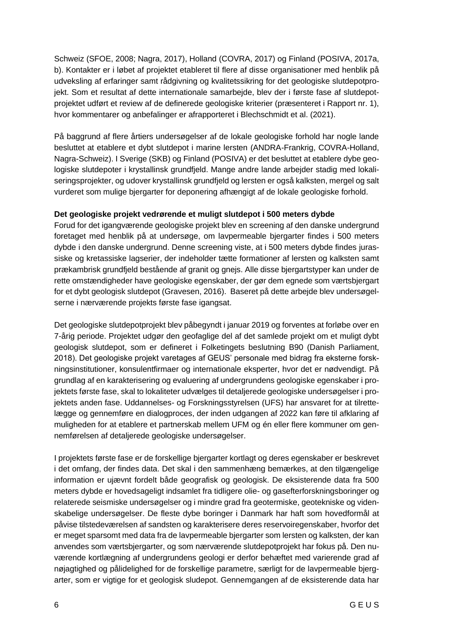Schweiz (SFOE, 2008; Nagra, 2017), Holland (COVRA, 2017) og Finland (POSIVA, 2017a, b). Kontakter er i løbet af projektet etableret til flere af disse organisationer med henblik på udveksling af erfaringer samt rådgivning og kvalitetssikring for det geologiske slutdepotprojekt. Som et resultat af dette internationale samarbejde, blev der i første fase af slutdepotprojektet udført et review af de definerede geologiske kriterier (præsenteret i Rapport nr. 1), hvor kommentarer og anbefalinger er afrapporteret i Blechschmidt et al. (2021).

På baggrund af flere årtiers undersøgelser af de lokale geologiske forhold har nogle lande besluttet at etablere et dybt slutdepot i marine lersten (ANDRA-Frankrig, COVRA-Holland, Nagra-Schweiz). I Sverige (SKB) og Finland (POSIVA) er det besluttet at etablere dybe geologiske slutdepoter i krystallinsk grundfjeld. Mange andre lande arbejder stadig med lokaliseringsprojekter, og udover krystallinsk grundfjeld og lersten er også kalksten, mergel og salt vurderet som mulige bjergarter for deponering afhængigt af de lokale geologiske forhold.

#### **Det geologiske projekt vedrørende et muligt slutdepot i 500 meters dybde**

Forud for det igangværende geologiske projekt blev en screening af den danske undergrund foretaget med henblik på at undersøge, om lavpermeable bjergarter findes i 500 meters dybde i den danske undergrund. Denne screening viste, at i 500 meters dybde findes jurassiske og kretassiske lagserier, der indeholder tætte formationer af lersten og kalksten samt prækambrisk grundfjeld bestående af granit og gnejs. Alle disse bjergartstyper kan under de rette omstændigheder have geologiske egenskaber, der gør dem egnede som værtsbjergart for et dybt geologisk slutdepot (Gravesen, 2016). Baseret på dette arbejde blev undersøgelserne i nærværende projekts første fase igangsat.

Det geologiske slutdepotprojekt blev påbegyndt i januar 2019 og forventes at forløbe over en 7-årig periode. Projektet udgør den geofaglige del af det samlede projekt om et muligt dybt geologisk slutdepot, som er defineret i Folketingets beslutning B90 (Danish Parliament, 2018). Det geologiske projekt varetages af GEUS' personale med bidrag fra eksterne forskningsinstitutioner, konsulentfirmaer og internationale eksperter, hvor det er nødvendigt. På grundlag af en karakterisering og evaluering af undergrundens geologiske egenskaber i projektets første fase, skal to lokaliteter udvælges til detaljerede geologiske undersøgelser i projektets anden fase. Uddannelses- og Forskningsstyrelsen (UFS) har ansvaret for at tilrettelægge og gennemføre en dialogproces, der inden udgangen af 2022 kan føre til afklaring af muligheden for at etablere et partnerskab mellem UFM og én eller flere kommuner om gennemførelsen af detaljerede geologiske undersøgelser.

I projektets første fase er de forskellige bjergarter kortlagt og deres egenskaber er beskrevet i det omfang, der findes data. Det skal i den sammenhæng bemærkes, at den tilgængelige information er ujævnt fordelt både geografisk og geologisk. De eksisterende data fra 500 meters dybde er hovedsageligt indsamlet fra tidligere olie- og gasefterforskningsboringer og relaterede seismiske undersøgelser og i mindre grad fra geotermiske, geotekniske og videnskabelige undersøgelser. De fleste dybe boringer i Danmark har haft som hovedformål at påvise tilstedeværelsen af sandsten og karakterisere deres reservoiregenskaber, hvorfor det er meget sparsomt med data fra de lavpermeable bjergarter som lersten og kalksten, der kan anvendes som værtsbjergarter, og som nærværende slutdepotprojekt har fokus på. Den nuværende kortlægning af undergrundens geologi er derfor behæftet med varierende grad af nøjagtighed og pålidelighed for de forskellige parametre, særligt for de lavpermeable bjergarter, som er vigtige for et geologisk sludepot. Gennemgangen af de eksisterende data har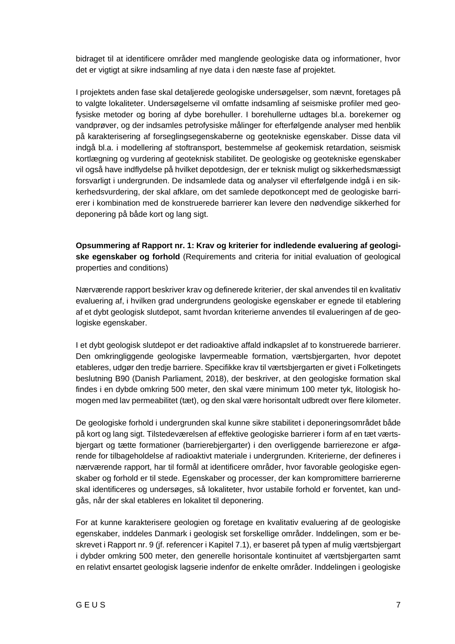bidraget til at identificere områder med manglende geologiske data og informationer, hvor det er vigtigt at sikre indsamling af nye data i den næste fase af projektet.

I projektets anden fase skal detaljerede geologiske undersøgelser, som nævnt, foretages på to valgte lokaliteter. Undersøgelserne vil omfatte indsamling af seismiske profiler med geofysiske metoder og boring af dybe borehuller. I borehullerne udtages bl.a. borekerner og vandprøver, og der indsamles petrofysiske målinger for efterfølgende analyser med henblik på karakterisering af forseglingsegenskaberne og geotekniske egenskaber. Disse data vil indgå bl.a. i modellering af stoftransport, bestemmelse af geokemisk retardation, seismisk kortlægning og vurdering af geoteknisk stabilitet. De geologiske og geotekniske egenskaber vil også have indflydelse på hvilket depotdesign, der er teknisk muligt og sikkerhedsmæssigt forsvarligt i undergrunden. De indsamlede data og analyser vil efterfølgende indgå i en sikkerhedsvurdering, der skal afklare, om det samlede depotkoncept med de geologiske barrierer i kombination med de konstruerede barrierer kan levere den nødvendige sikkerhed for deponering på både kort og lang sigt.

**Opsummering af Rapport nr. 1: Krav og kriterier for indledende evaluering af geologiske egenskaber og forhold** (Requirements and criteria for initial evaluation of geological properties and conditions)

Nærværende rapport beskriver krav og definerede kriterier, der skal anvendes til en kvalitativ evaluering af, i hvilken grad undergrundens geologiske egenskaber er egnede til etablering af et dybt geologisk slutdepot, samt hvordan kriterierne anvendes til evalueringen af de geologiske egenskaber.

I et dybt geologisk slutdepot er det radioaktive affald indkapslet af to konstruerede barrierer. Den omkringliggende geologiske lavpermeable formation, værtsbjergarten, hvor depotet etableres, udgør den tredje barriere. Specifikke krav til værtsbjergarten er givet i Folketingets beslutning B90 (Danish Parliament, 2018), der beskriver, at den geologiske formation skal findes i en dybde omkring 500 meter, den skal være minimum 100 meter tyk, litologisk homogen med lav permeabilitet (tæt), og den skal være horisontalt udbredt over flere kilometer.

De geologiske forhold i undergrunden skal kunne sikre stabilitet i deponeringsområdet både på kort og lang sigt. Tilstedeværelsen af effektive geologiske barrierer i form af en tæt værtsbjergart og tætte formationer (barrierebjergarter) i den overliggende barrierezone er afgørende for tilbageholdelse af radioaktivt materiale i undergrunden. Kriterierne, der defineres i nærværende rapport, har til formål at identificere områder, hvor favorable geologiske egenskaber og forhold er til stede. Egenskaber og processer, der kan kompromittere barriererne skal identificeres og undersøges, så lokaliteter, hvor ustabile forhold er forventet, kan undgås, når der skal etableres en lokalitet til deponering.

For at kunne karakterisere geologien og foretage en kvalitativ evaluering af de geologiske egenskaber, inddeles Danmark i geologisk set forskellige områder. Inddelingen, som er beskrevet i Rapport nr. 9 (jf. referencer i Kapitel 7.1), er baseret på typen af mulig værtsbjergart i dybder omkring 500 meter, den generelle horisontale kontinuitet af værtsbjergarten samt en relativt ensartet geologisk lagserie indenfor de enkelte områder. Inddelingen i geologiske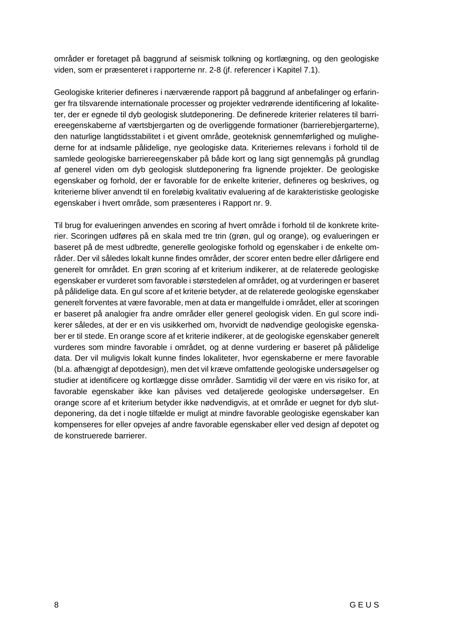områder er foretaget på baggrund af seismisk tolkning og kortlægning, og den geologiske viden, som er præsenteret i rapporterne nr. 2-8 (jf. referencer i Kapitel 7.1).

Geologiske kriterier defineres i nærværende rapport på baggrund af anbefalinger og erfaringer fra tilsvarende internationale processer og projekter vedrørende identificering af lokaliteter, der er egnede til dyb geologisk slutdeponering. De definerede kriterier relateres til barriereegenskaberne af værtsbjergarten og de overliggende formationer (barrierebjergarterne), den naturlige langtidsstabilitet i et givent område, geoteknisk gennemførlighed og mulighederne for at indsamle pålidelige, nye geologiske data. Kriteriernes relevans i forhold til de samlede geologiske barriereegenskaber på både kort og lang sigt gennemgås på grundlag af generel viden om dyb geologisk slutdeponering fra lignende projekter. De geologiske egenskaber og forhold, der er favorable for de enkelte kriterier, defineres og beskrives, og kriterierne bliver anvendt til en foreløbig kvalitativ evaluering af de karakteristiske geologiske egenskaber i hvert område, som præsenteres i Rapport nr. 9.

Til brug for evalueringen anvendes en scoring af hvert område i forhold til de konkrete kriterier. Scoringen udføres på en skala med tre trin (grøn, gul og orange), og evalueringen er baseret på de mest udbredte, generelle geologiske forhold og egenskaber i de enkelte områder. Der vil således lokalt kunne findes områder, der scorer enten bedre eller dårligere end generelt for området. En grøn scoring af et kriterium indikerer, at de relaterede geologiske egenskaber er vurderet som favorable i størstedelen af området, og at vurderingen er baseret på pålidelige data. En gul score af et kriterie betyder, at de relaterede geologiske egenskaber generelt forventes at være favorable, men at data er mangelfulde i området, eller at scoringen er baseret på analogier fra andre områder eller generel geologisk viden. En gul score indikerer således, at der er en vis usikkerhed om, hvorvidt de nødvendige geologiske egenskaber er til stede. En orange score af et kriterie indikerer, at de geologiske egenskaber generelt vurderes som mindre favorable i området, og at denne vurdering er baseret på pålidelige data. Der vil muligvis lokalt kunne findes lokaliteter, hvor egenskaberne er mere favorable (bl.a. afhængigt af depotdesign), men det vil kræve omfattende geologiske undersøgelser og studier at identificere og kortlægge disse områder. Samtidig vil der være en vis risiko for, at favorable egenskaber ikke kan påvises ved detaljerede geologiske undersøgelser. En orange score af et kriterium betyder ikke nødvendigvis, at et område er uegnet for dyb slutdeponering, da det i nogle tilfælde er muligt at mindre favorable geologiske egenskaber kan kompenseres for eller opvejes af andre favorable egenskaber eller ved design af depotet og de konstruerede barrierer.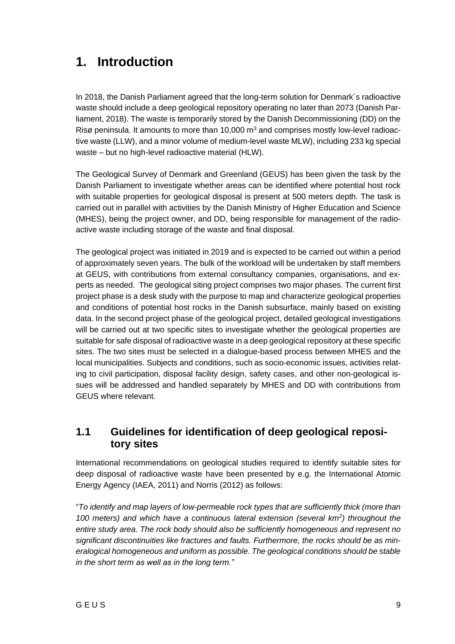# <span id="page-10-0"></span>**1. Introduction**

In 2018, the Danish Parliament agreed that the long-term solution for Denmark´s radioactive waste should include a deep geological repository operating no later than 2073 (Danish Parliament, 2018). The waste is temporarily stored by the Danish Decommissioning (DD) on the Risø peninsula. It amounts to more than 10,000  $m<sup>3</sup>$  and comprises mostly low-level radioactive waste (LLW), and a minor volume of medium-level waste MLW), including 233 kg special waste – but no high-level radioactive material (HLW).

The Geological Survey of Denmark and Greenland (GEUS) has been given the task by the Danish Parliament to investigate whether areas can be identified where potential host rock with suitable properties for geological disposal is present at 500 meters depth. The task is carried out in parallel with activities by the Danish Ministry of Higher Education and Science (MHES), being the project owner, and DD, being responsible for management of the radioactive waste including storage of the waste and final disposal.

The geological project was initiated in 2019 and is expected to be carried out within a period of approximately seven years. The bulk of the workload will be undertaken by staff members at GEUS, with contributions from external consultancy companies, organisations, and experts as needed. The geological siting project comprises two major phases. The current first project phase is a desk study with the purpose to map and characterize geological properties and conditions of potential host rocks in the Danish subsurface, mainly based on existing data. In the second project phase of the geological project, detailed geological investigations will be carried out at two specific sites to investigate whether the geological properties are suitable for safe disposal of radioactive waste in a deep geological repository at these specific sites. The two sites must be selected in a dialogue-based process between MHES and the local municipalities. Subjects and conditions, such as socio-economic issues, activities relating to civil participation, disposal facility design, safety cases, and other non-geological issues will be addressed and handled separately by MHES and DD with contributions from GEUS where relevant.

### <span id="page-10-1"></span>**1.1 Guidelines for identification of deep geological repository sites**

International recommendations on geological studies required to identify suitable sites for deep disposal of radioactive waste have been presented by e.g. the International Atomic Energy Agency (IAEA, 2011) and Norris (2012) as follows:

"*To identify and map layers of low-permeable rock types that are sufficiently thick (more than 100 meters) and which have a continuous lateral extension (several km<sup>2</sup> ) throughout the entire study area. The rock body should also be sufficiently homogeneous and represent no significant discontinuities like fractures and faults. Furthermore, the rocks should be as mineralogical homogeneous and uniform as possible. The geological conditions should be stable in the short term as well as in the long term."*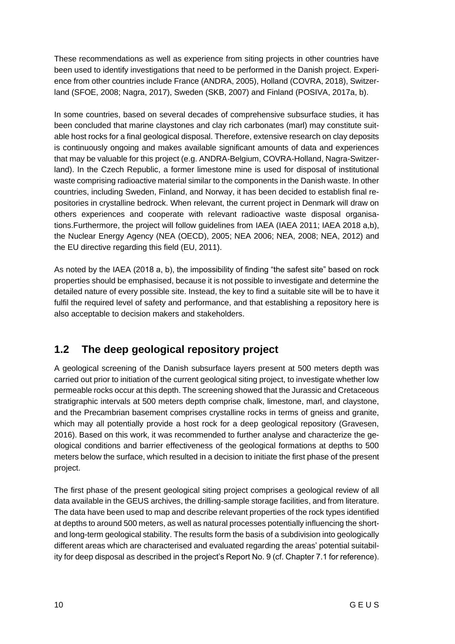These recommendations as well as experience from siting projects in other countries have been used to identify investigations that need to be performed in the Danish project. Experience from other countries include France (ANDRA, 2005), Holland (COVRA, 2018), Switzerland (SFOE, 2008; Nagra, 2017), Sweden (SKB, 2007) and Finland (POSIVA, 2017a, b).

In some countries, based on several decades of comprehensive subsurface studies, it has been concluded that marine claystones and clay rich carbonates (marl) may constitute suitable host rocks for a final geological disposal. Therefore, extensive research on clay deposits is continuously ongoing and makes available significant amounts of data and experiences that may be valuable for this project (e.g. ANDRA-Belgium, COVRA-Holland, Nagra-Switzerland). In the Czech Republic, a former limestone mine is used for disposal of institutional waste comprising radioactive material similar to the components in the Danish waste. In other countries, including Sweden, Finland, and Norway, it has been decided to establish final repositories in crystalline bedrock. When relevant, the current project in Denmark will draw on others experiences and cooperate with relevant radioactive waste disposal organisations.Furthermore, the project will follow guidelines from IAEA (IAEA 2011; IAEA 2018 a,b), the Nuclear Energy Agency (NEA (OECD), 2005; NEA 2006; NEA, 2008; NEA, 2012) and the EU directive regarding this field (EU, 2011).

As noted by the IAEA (2018 a, b), the impossibility of finding "the safest site" based on rock properties should be emphasised, because it is not possible to investigate and determine the detailed nature of every possible site. Instead, the key to find a suitable site will be to have it fulfil the required level of safety and performance, and that establishing a repository here is also acceptable to decision makers and stakeholders.

### <span id="page-11-0"></span>**1.2 The deep geological repository project**

A geological screening of the Danish subsurface layers present at 500 meters depth was carried out prior to initiation of the current geological siting project, to investigate whether low permeable rocks occur at this depth. The screening showed that the Jurassic and Cretaceous stratigraphic intervals at 500 meters depth comprise chalk, limestone, marl, and claystone, and the Precambrian basement comprises crystalline rocks in terms of gneiss and granite, which may all potentially provide a host rock for a deep geological repository (Gravesen, 2016). Based on this work, it was recommended to further analyse and characterize the geological conditions and barrier effectiveness of the geological formations at depths to 500 meters below the surface, which resulted in a decision to initiate the first phase of the present project.

The first phase of the present geological siting project comprises a geological review of all data available in the GEUS archives, the drilling-sample storage facilities, and from literature. The data have been used to map and describe relevant properties of the rock types identified at depths to around 500 meters, as well as natural processes potentially influencing the shortand long-term geological stability. The results form the basis of a subdivision into geologically different areas which are characterised and evaluated regarding the areas' potential suitability for deep disposal as described in the project's Report No. 9 (cf. Chapter 7.1 for reference).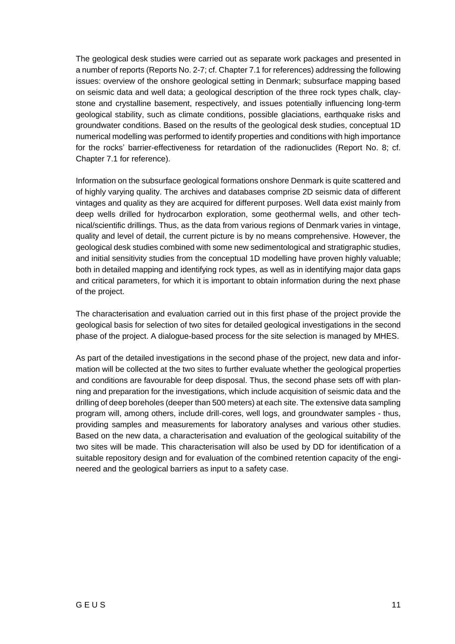The geological desk studies were carried out as separate work packages and presented in a number of reports (Reports No. 2-7; cf. Chapter 7.1 for references) addressing the following issues: overview of the onshore geological setting in Denmark; subsurface mapping based on seismic data and well data; a geological description of the three rock types chalk, claystone and crystalline basement, respectively, and issues potentially influencing long-term geological stability, such as climate conditions, possible glaciations, earthquake risks and groundwater conditions. Based on the results of the geological desk studies, conceptual 1D numerical modelling was performed to identify properties and conditions with high importance for the rocks' barrier-effectiveness for retardation of the radionuclides (Report No. 8; cf. Chapter 7.1 for reference).

Information on the subsurface geological formations onshore Denmark is quite scattered and of highly varying quality. The archives and databases comprise 2D seismic data of different vintages and quality as they are acquired for different purposes. Well data exist mainly from deep wells drilled for hydrocarbon exploration, some geothermal wells, and other technical/scientific drillings. Thus, as the data from various regions of Denmark varies in vintage, quality and level of detail, the current picture is by no means comprehensive. However, the geological desk studies combined with some new sedimentological and stratigraphic studies, and initial sensitivity studies from the conceptual 1D modelling have proven highly valuable; both in detailed mapping and identifying rock types, as well as in identifying major data gaps and critical parameters, for which it is important to obtain information during the next phase of the project.

The characterisation and evaluation carried out in this first phase of the project provide the geological basis for selection of two sites for detailed geological investigations in the second phase of the project. A dialogue-based process for the site selection is managed by MHES.

As part of the detailed investigations in the second phase of the project, new data and information will be collected at the two sites to further evaluate whether the geological properties and conditions are favourable for deep disposal. Thus, the second phase sets off with planning and preparation for the investigations, which include acquisition of seismic data and the drilling of deep boreholes (deeper than 500 meters) at each site. The extensive data sampling program will, among others, include drill-cores, well logs, and groundwater samples - thus, providing samples and measurements for laboratory analyses and various other studies. Based on the new data, a characterisation and evaluation of the geological suitability of the two sites will be made. This characterisation will also be used by DD for identification of a suitable repository design and for evaluation of the combined retention capacity of the engineered and the geological barriers as input to a safety case.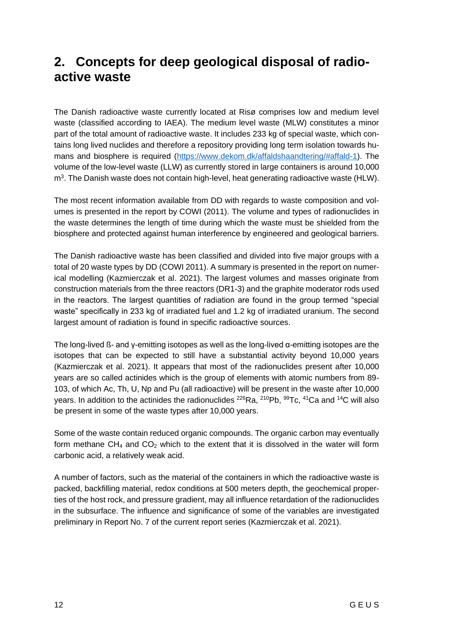# <span id="page-13-0"></span>**2. Concepts for deep geological disposal of radioactive waste**

The Danish radioactive waste currently located at Risø comprises low and medium level waste (classified according to IAEA). The medium level waste (MLW) constitutes a minor part of the total amount of radioactive waste. It includes 233 kg of special waste, which contains long lived nuclides and therefore a repository providing long term isolation towards humans and biosphere is required [\(https://www.dekom.dk/affaldshaandtering/#affald-1\)](https://www.dekom.dk/affaldshaandtering/#affald-1). The volume of the low-level waste (LLW) as currently stored in large containers is around 10,000 m<sup>3</sup>. The Danish waste does not contain high-level, heat generating radioactive waste (HLW).

The most recent information available from DD with regards to waste composition and volumes is presented in the report by COWI (2011). The volume and types of radionuclides in the waste determines the length of time during which the waste must be shielded from the biosphere and protected against human interference by engineered and geological barriers.

The Danish radioactive waste has been classified and divided into five major groups with a total of 20 waste types by DD (COWI 2011). A summary is presented in the report on numerical modelling (Kazmierczak et al. 2021). The largest volumes and masses originate from construction materials from the three reactors (DR1-3) and the graphite moderator rods used in the reactors. The largest quantities of radiation are found in the group termed "special waste" specifically in 233 kg of irradiated fuel and 1.2 kg of irradiated uranium. The second largest amount of radiation is found in specific radioactive sources.

The long-lived ß- and γ-emitting isotopes as well as the long-lived α-emitting isotopes are the isotopes that can be expected to still have a substantial activity beyond 10,000 years (Kazmierczak et al. 2021). It appears that most of the radionuclides present after 10,000 years are so called actinides which is the group of elements with atomic numbers from 89- 103, of which Ac, Th, U, Np and Pu (all radioactive) will be present in the waste after 10,000 years. In addition to the actinides the radionuclides  $^{226}$ Ra,  $^{210}$ Pb,  $^{99}$ Tc,  $^{41}$ Ca and  $^{14}$ C will also be present in some of the waste types after 10,000 years.

Some of the waste contain reduced organic compounds. The organic carbon may eventually form methane  $CH_4$  and  $CO_2$  which to the extent that it is dissolved in the water will form carbonic acid, a relatively weak acid.

A number of factors, such as the material of the containers in which the radioactive waste is packed, backfilling material, redox conditions at 500 meters depth, the geochemical properties of the host rock, and pressure gradient, may all influence retardation of the radionuclides in the subsurface. The influence and significance of some of the variables are investigated preliminary in Report No. 7 of the current report series (Kazmierczak et al. 2021).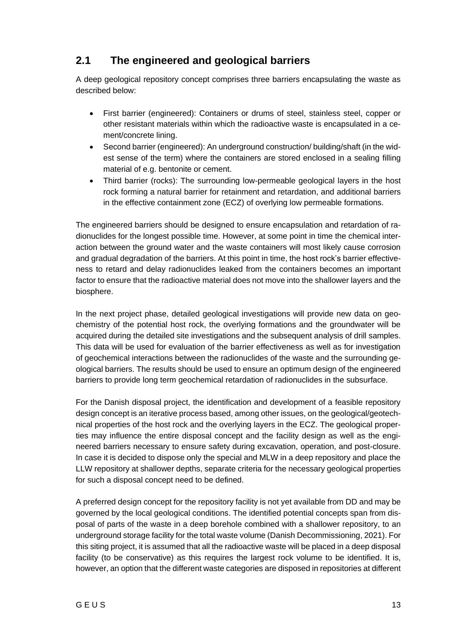### <span id="page-14-0"></span>**2.1 The engineered and geological barriers**

A deep geological repository concept comprises three barriers encapsulating the waste as described below:

- First barrier (engineered): Containers or drums of steel, stainless steel, copper or other resistant materials within which the radioactive waste is encapsulated in a cement/concrete lining.
- Second barrier (engineered): An underground construction/ building/shaft (in the widest sense of the term) where the containers are stored enclosed in a sealing filling material of e.g. bentonite or cement.
- Third barrier (rocks): The surrounding low-permeable geological layers in the host rock forming a natural barrier for retainment and retardation, and additional barriers in the effective containment zone (ECZ) of overlying low permeable formations.

The engineered barriers should be designed to ensure encapsulation and retardation of radionuclides for the longest possible time. However, at some point in time the chemical interaction between the ground water and the waste containers will most likely cause corrosion and gradual degradation of the barriers. At this point in time, the host rock's barrier effectiveness to retard and delay radionuclides leaked from the containers becomes an important factor to ensure that the radioactive material does not move into the shallower layers and the biosphere.

In the next project phase, detailed geological investigations will provide new data on geochemistry of the potential host rock, the overlying formations and the groundwater will be acquired during the detailed site investigations and the subsequent analysis of drill samples. This data will be used for evaluation of the barrier effectiveness as well as for investigation of geochemical interactions between the radionuclides of the waste and the surrounding geological barriers. The results should be used to ensure an optimum design of the engineered barriers to provide long term geochemical retardation of radionuclides in the subsurface.

For the Danish disposal project, the identification and development of a feasible repository design concept is an iterative process based, among other issues, on the geological/geotechnical properties of the host rock and the overlying layers in the ECZ. The geological properties may influence the entire disposal concept and the facility design as well as the engineered barriers necessary to ensure safety during excavation, operation, and post-closure. In case it is decided to dispose only the special and MLW in a deep repository and place the LLW repository at shallower depths, separate criteria for the necessary geological properties for such a disposal concept need to be defined.

A preferred design concept for the repository facility is not yet available from DD and may be governed by the local geological conditions. The identified potential concepts span from disposal of parts of the waste in a deep borehole combined with a shallower repository, to an underground storage facility for the total waste volume (Danish Decommissioning, 2021). For this siting project, it is assumed that all the radioactive waste will be placed in a deep disposal facility (to be conservative) as this requires the largest rock volume to be identified. It is, however, an option that the different waste categories are disposed in repositories at different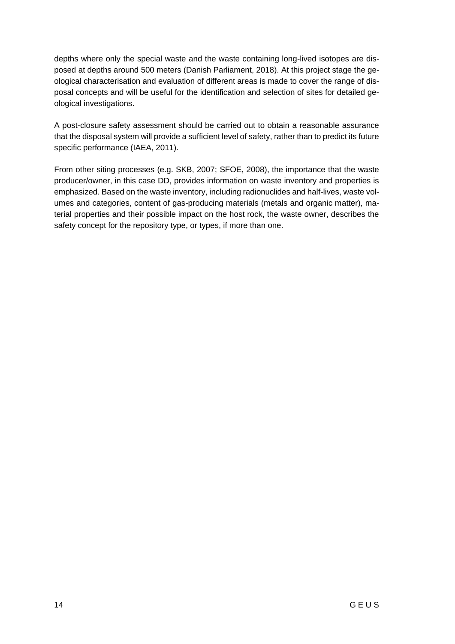depths where only the special waste and the waste containing long-lived isotopes are disposed at depths around 500 meters (Danish Parliament, 2018). At this project stage the geological characterisation and evaluation of different areas is made to cover the range of disposal concepts and will be useful for the identification and selection of sites for detailed geological investigations.

A post-closure safety assessment should be carried out to obtain a reasonable assurance that the disposal system will provide a sufficient level of safety, rather than to predict its future specific performance (IAEA, 2011).

From other siting processes (e.g. SKB, 2007; SFOE, 2008), the importance that the waste producer/owner, in this case DD, provides information on waste inventory and properties is emphasized. Based on the waste inventory, including radionuclides and half-lives, waste volumes and categories, content of gas-producing materials (metals and organic matter), material properties and their possible impact on the host rock, the waste owner, describes the safety concept for the repository type, or types, if more than one.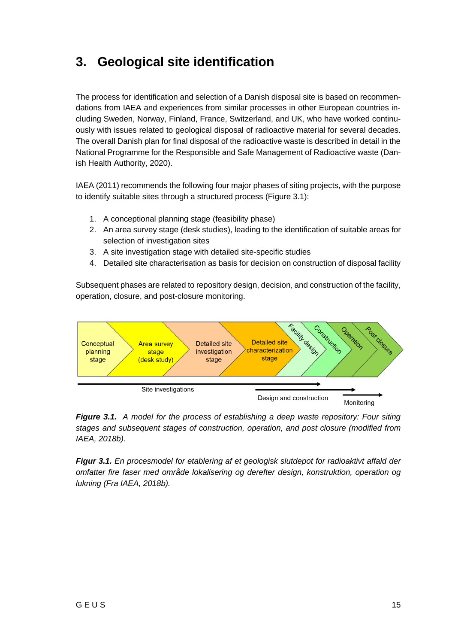# <span id="page-16-0"></span>**3. Geological site identification**

The process for identification and selection of a Danish disposal site is based on recommendations from IAEA and experiences from similar processes in other European countries including Sweden, Norway, Finland, France, Switzerland, and UK, who have worked continuously with issues related to geological disposal of radioactive material for several decades. The overall Danish plan for final disposal of the radioactive waste is described in detail in the National Programme for the Responsible and Safe Management of Radioactive waste (Danish Health Authority, 2020).

IAEA (2011) recommends the following four major phases of siting projects, with the purpose to identify suitable sites through a structured process (Figure 3.1):

- 1. A conceptional planning stage (feasibility phase)
- 2. An area survey stage (desk studies), leading to the identification of suitable areas for selection of investigation sites
- 3. A site investigation stage with detailed site-specific studies
- 4. Detailed site characterisation as basis for decision on construction of disposal facility

Subsequent phases are related to repository design, decision, and construction of the facility, operation, closure, and post-closure monitoring.



*Figure 3.1. A model for the process of establishing a deep waste repository: Four siting stages and subsequent stages of construction, operation, and post closure (modified from IAEA, 2018b).*

*Figur 3.1. En procesmodel for etablering af et geologisk slutdepot for radioaktivt affald der omfatter fire faser med område lokalisering og derefter design, konstruktion, operation og lukning (Fra IAEA, 2018b).*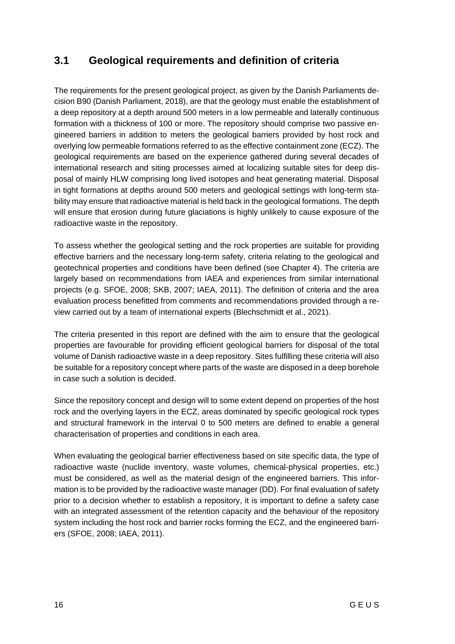### <span id="page-17-0"></span>**3.1 Geological requirements and definition of criteria**

The requirements for the present geological project, as given by the Danish Parliaments decision B90 (Danish Parliament, 2018), are that the geology must enable the establishment of a deep repository at a depth around 500 meters in a low permeable and laterally continuous formation with a thickness of 100 or more. The repository should comprise two passive engineered barriers in addition to meters the geological barriers provided by host rock and overlying low permeable formations referred to as the effective containment zone (ECZ). The geological requirements are based on the experience gathered during several decades of international research and siting processes aimed at localizing suitable sites for deep disposal of mainly HLW comprising long lived isotopes and heat generating material. Disposal in tight formations at depths around 500 meters and geological settings with long-term stability may ensure that radioactive material is held back in the geological formations. The depth will ensure that erosion during future glaciations is highly unlikely to cause exposure of the radioactive waste in the repository.

To assess whether the geological setting and the rock properties are suitable for providing effective barriers and the necessary long-term safety, criteria relating to the geological and geotechnical properties and conditions have been defined (see Chapter 4). The criteria are largely based on recommendations from IAEA and experiences from similar international projects (e.g. SFOE, 2008; SKB, 2007; IAEA, 2011). The definition of criteria and the area evaluation process benefitted from comments and recommendations provided through a review carried out by a team of international experts (Blechschmidt et al., 2021).

The criteria presented in this report are defined with the aim to ensure that the geological properties are favourable for providing efficient geological barriers for disposal of the total volume of Danish radioactive waste in a deep repository. Sites fulfilling these criteria will also be suitable for a repository concept where parts of the waste are disposed in a deep borehole in case such a solution is decided.

Since the repository concept and design will to some extent depend on properties of the host rock and the overlying layers in the ECZ, areas dominated by specific geological rock types and structural framework in the interval 0 to 500 meters are defined to enable a general characterisation of properties and conditions in each area.

When evaluating the geological barrier effectiveness based on site specific data, the type of radioactive waste (nuclide inventory, waste volumes, chemical-physical properties, etc.) must be considered, as well as the material design of the engineered barriers. This information is to be provided by the radioactive waste manager (DD). For final evaluation of safety prior to a decision whether to establish a repository, it is important to define a safety case with an integrated assessment of the retention capacity and the behaviour of the repository system including the host rock and barrier rocks forming the ECZ, and the engineered barriers (SFOE, 2008; IAEA, 2011).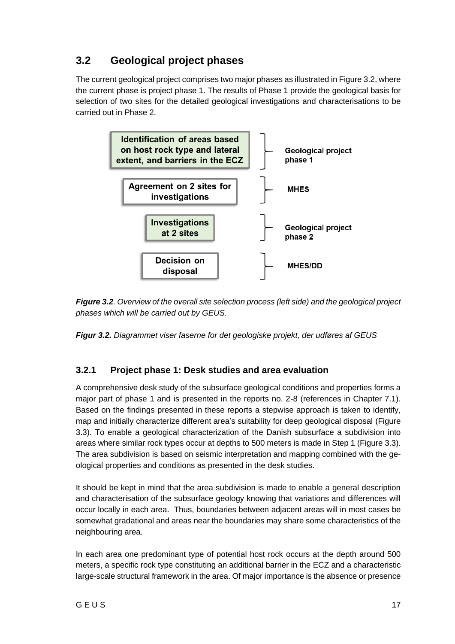### <span id="page-18-0"></span>**3.2 Geological project phases**

The current geological project comprises two major phases as illustrated in Figure 3.2, where the current phase is project phase 1. The results of Phase 1 provide the geological basis for selection of two sites for the detailed geological investigations and characterisations to be carried out in Phase 2.



*Figure 3.2. Overview of the overall site selection process (left side) and the geological project phases which will be carried out by GEUS.*

<span id="page-18-1"></span>*Figur 3.2. Diagrammet viser faserne for det geologiske projekt, der udføres af GEUS*

### **3.2.1 Project phase 1: Desk studies and area evaluation**

A comprehensive desk study of the subsurface geological conditions and properties forms a major part of phase 1 and is presented in the reports no. 2-8 (references in Chapter 7.1). Based on the findings presented in these reports a stepwise approach is taken to identify, map and initially characterize different area's suitability for deep geological disposal (Figure 3.3). To enable a geological characterization of the Danish subsurface a subdivision into areas where similar rock types occur at depths to 500 meters is made in Step 1 (Figure 3.3). The area subdivision is based on seismic interpretation and mapping combined with the geological properties and conditions as presented in the desk studies.

It should be kept in mind that the area subdivision is made to enable a general description and characterisation of the subsurface geology knowing that variations and differences will occur locally in each area. Thus, boundaries between adjacent areas will in most cases be somewhat gradational and areas near the boundaries may share some characteristics of the neighbouring area.

In each area one predominant type of potential host rock occurs at the depth around 500 meters, a specific rock type constituting an additional barrier in the ECZ and a characteristic large-scale structural framework in the area. Of major importance is the absence or presence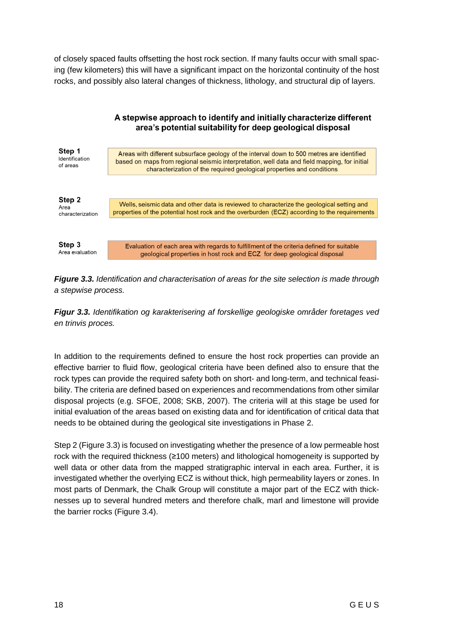of closely spaced faults offsetting the host rock section. If many faults occur with small spacing (few kilometers) this will have a significant impact on the horizontal continuity of the host rocks, and possibly also lateral changes of thickness, lithology, and structural dip of layers.



*Figure 3.3. Identification and characterisation of areas for the site selection is made through a stepwise process.* 

*Figur 3.3. Identifikation og karakterisering af forskellige geologiske områder foretages ved en trinvis proces.*

In addition to the requirements defined to ensure the host rock properties can provide an effective barrier to fluid flow, geological criteria have been defined also to ensure that the rock types can provide the required safety both on short- and long-term, and technical feasibility. The criteria are defined based on experiences and recommendations from other similar disposal projects (e.g. SFOE, 2008; SKB, 2007). The criteria will at this stage be used for initial evaluation of the areas based on existing data and for identification of critical data that needs to be obtained during the geological site investigations in Phase 2.

Step 2 (Figure 3.3) is focused on investigating whether the presence of a low permeable host rock with the required thickness (≥100 meters) and lithological homogeneity is supported by well data or other data from the mapped stratigraphic interval in each area. Further, it is investigated whether the overlying ECZ is without thick, high permeability layers or zones. In most parts of Denmark, the Chalk Group will constitute a major part of the ECZ with thicknesses up to several hundred meters and therefore chalk, marl and limestone will provide the barrier rocks (Figure 3.4).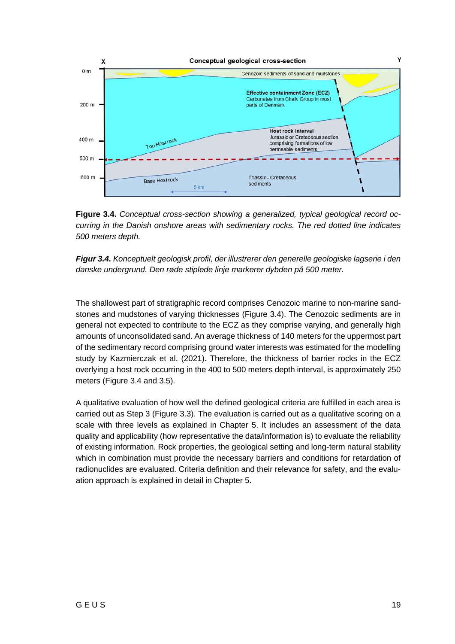

**Figure 3.4.** *Conceptual cross-section showing a generalized, typical geological record occurring in the Danish onshore areas with sedimentary rocks. The red dotted line indicates 500 meters depth.* 



The shallowest part of stratigraphic record comprises Cenozoic marine to non-marine sandstones and mudstones of varying thicknesses (Figure 3.4). The Cenozoic sediments are in general not expected to contribute to the ECZ as they comprise varying, and generally high amounts of unconsolidated sand. An average thickness of 140 meters for the uppermost part of the sedimentary record comprising ground water interests was estimated for the modelling study by Kazmierczak et al. (2021). Therefore, the thickness of barrier rocks in the ECZ overlying a host rock occurring in the 400 to 500 meters depth interval, is approximately 250 meters (Figure 3.4 and 3.5).

A qualitative evaluation of how well the defined geological criteria are fulfilled in each area is carried out as Step 3 (Figure 3.3). The evaluation is carried out as a qualitative scoring on a scale with three levels as explained in Chapter 5. It includes an assessment of the data quality and applicability (how representative the data/information is) to evaluate the reliability of existing information. Rock properties, the geological setting and long-term natural stability which in combination must provide the necessary barriers and conditions for retardation of radionuclides are evaluated. Criteria definition and their relevance for safety, and the evaluation approach is explained in detail in Chapter 5.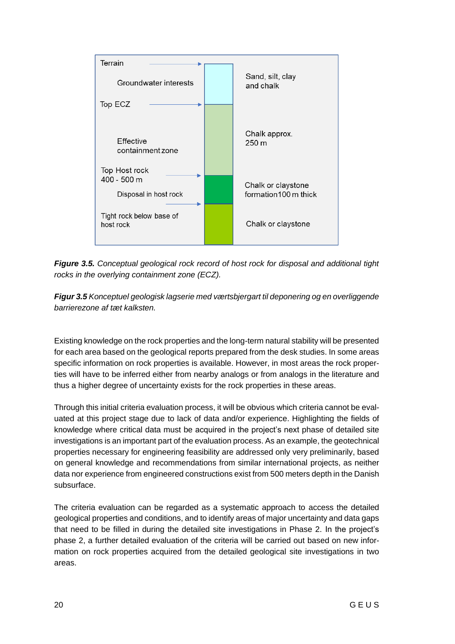

*Figure 3.5. Conceptual geological rock record of host rock for disposal and additional tight rocks in the overlying containment zone (ECZ).*

*Figur 3.5 Konceptuel geologisk lagserie med værtsbjergart til deponering og en overliggende barrierezone af tæt kalksten.*

Existing knowledge on the rock properties and the long-term natural stability will be presented for each area based on the geological reports prepared from the desk studies. In some areas specific information on rock properties is available. However, in most areas the rock properties will have to be inferred either from nearby analogs or from analogs in the literature and thus a higher degree of uncertainty exists for the rock properties in these areas.

Through this initial criteria evaluation process, it will be obvious which criteria cannot be evaluated at this project stage due to lack of data and/or experience. Highlighting the fields of knowledge where critical data must be acquired in the project's next phase of detailed site investigations is an important part of the evaluation process. As an example, the geotechnical properties necessary for engineering feasibility are addressed only very preliminarily, based on general knowledge and recommendations from similar international projects, as neither data nor experience from engineered constructions exist from 500 meters depth in the Danish subsurface.

The criteria evaluation can be regarded as a systematic approach to access the detailed geological properties and conditions, and to identify areas of major uncertainty and data gaps that need to be filled in during the detailed site investigations in Phase 2. In the project's phase 2, a further detailed evaluation of the criteria will be carried out based on new information on rock properties acquired from the detailed geological site investigations in two areas.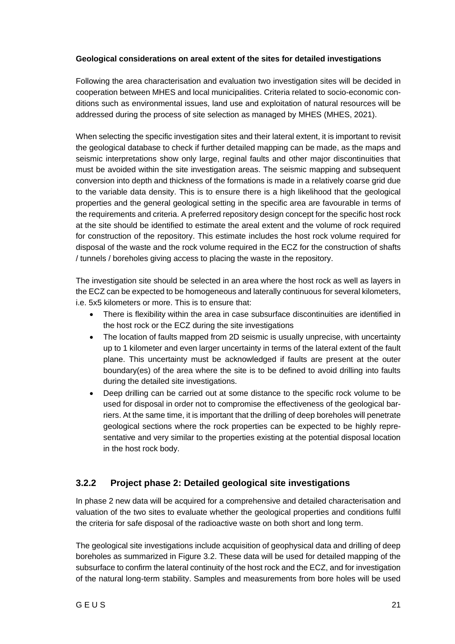#### **Geological considerations on areal extent of the sites for detailed investigations**

Following the area characterisation and evaluation two investigation sites will be decided in cooperation between MHES and local municipalities. Criteria related to socio-economic conditions such as environmental issues, land use and exploitation of natural resources will be addressed during the process of site selection as managed by MHES (MHES, 2021).

When selecting the specific investigation sites and their lateral extent, it is important to revisit the geological database to check if further detailed mapping can be made, as the maps and seismic interpretations show only large, reginal faults and other major discontinuities that must be avoided within the site investigation areas. The seismic mapping and subsequent conversion into depth and thickness of the formations is made in a relatively coarse grid due to the variable data density. This is to ensure there is a high likelihood that the geological properties and the general geological setting in the specific area are favourable in terms of the requirements and criteria. A preferred repository design concept for the specific host rock at the site should be identified to estimate the areal extent and the volume of rock required for construction of the repository. This estimate includes the host rock volume required for disposal of the waste and the rock volume required in the ECZ for the construction of shafts / tunnels / boreholes giving access to placing the waste in the repository.

The investigation site should be selected in an area where the host rock as well as layers in the ECZ can be expected to be homogeneous and laterally continuous for several kilometers, i.e. 5x5 kilometers or more. This is to ensure that:

- There is flexibility within the area in case subsurface discontinuities are identified in the host rock or the ECZ during the site investigations
- The location of faults mapped from 2D seismic is usually unprecise, with uncertainty up to 1 kilometer and even larger uncertainty in terms of the lateral extent of the fault plane. This uncertainty must be acknowledged if faults are present at the outer boundary(es) of the area where the site is to be defined to avoid drilling into faults during the detailed site investigations.
- Deep drilling can be carried out at some distance to the specific rock volume to be used for disposal in order not to compromise the effectiveness of the geological barriers. At the same time, it is important that the drilling of deep boreholes will penetrate geological sections where the rock properties can be expected to be highly representative and very similar to the properties existing at the potential disposal location in the host rock body.

### <span id="page-22-0"></span>**3.2.2 Project phase 2: Detailed geological site investigations**

In phase 2 new data will be acquired for a comprehensive and detailed characterisation and valuation of the two sites to evaluate whether the geological properties and conditions fulfil the criteria for safe disposal of the radioactive waste on both short and long term.

The geological site investigations include acquisition of geophysical data and drilling of deep boreholes as summarized in Figure 3.2. These data will be used for detailed mapping of the subsurface to confirm the lateral continuity of the host rock and the ECZ, and for investigation of the natural long-term stability. Samples and measurements from bore holes will be used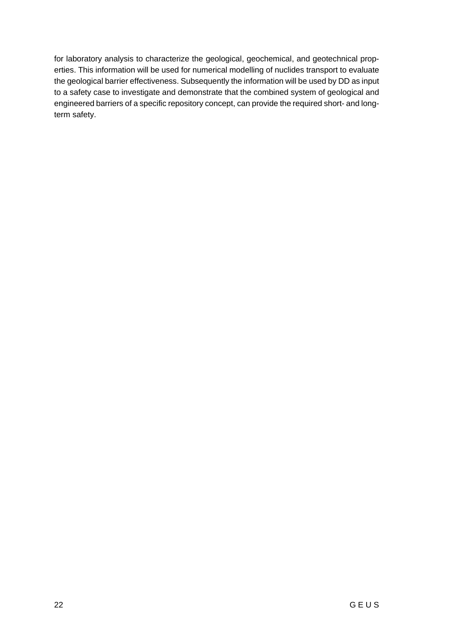for laboratory analysis to characterize the geological, geochemical, and geotechnical properties. This information will be used for numerical modelling of nuclides transport to evaluate the geological barrier effectiveness. Subsequently the information will be used by DD as input to a safety case to investigate and demonstrate that the combined system of geological and engineered barriers of a specific repository concept, can provide the required short- and longterm safety.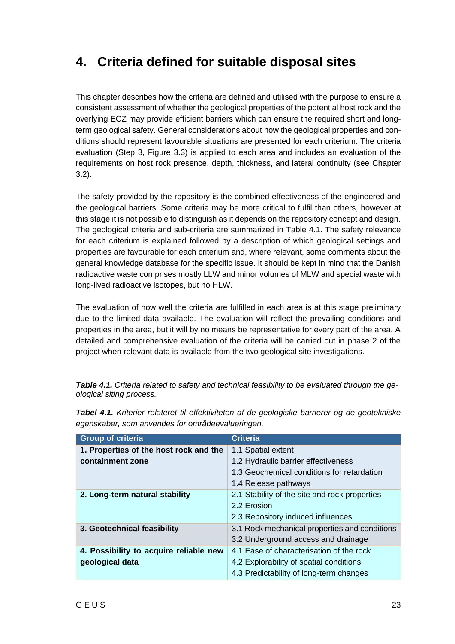# <span id="page-24-0"></span>**4. Criteria defined for suitable disposal sites**

This chapter describes how the criteria are defined and utilised with the purpose to ensure a consistent assessment of whether the geological properties of the potential host rock and the overlying ECZ may provide efficient barriers which can ensure the required short and longterm geological safety. General considerations about how the geological properties and conditions should represent favourable situations are presented for each criterium. The criteria evaluation (Step 3, Figure 3.3) is applied to each area and includes an evaluation of the requirements on host rock presence, depth, thickness, and lateral continuity (see Chapter 3.2).

The safety provided by the repository is the combined effectiveness of the engineered and the geological barriers. Some criteria may be more critical to fulfil than others, however at this stage it is not possible to distinguish as it depends on the repository concept and design. The geological criteria and sub-criteria are summarized in Table 4.1. The safety relevance for each criterium is explained followed by a description of which geological settings and properties are favourable for each criterium and, where relevant, some comments about the general knowledge database for the specific issue. It should be kept in mind that the Danish radioactive waste comprises mostly LLW and minor volumes of MLW and special waste with long-lived radioactive isotopes, but no HLW.

The evaluation of how well the criteria are fulfilled in each area is at this stage preliminary due to the limited data available. The evaluation will reflect the prevailing conditions and properties in the area, but it will by no means be representative for every part of the area. A detailed and comprehensive evaluation of the criteria will be carried out in phase 2 of the project when relevant data is available from the two geological site investigations.

| <b>Table 4.1.</b> Criteria related to safety and technical feasibility to be evaluated through the ge- |  |
|--------------------------------------------------------------------------------------------------------|--|
| ological siting process.                                                                               |  |

| <b>Group of criteria</b>               | <b>Criteria</b>                               |
|----------------------------------------|-----------------------------------------------|
| 1. Properties of the host rock and the | 1.1 Spatial extent                            |
| containment zone                       | 1.2 Hydraulic barrier effectiveness           |
|                                        | 1.3 Geochemical conditions for retardation    |
|                                        | 1.4 Release pathways                          |
| 2. Long-term natural stability         | 2.1 Stability of the site and rock properties |
|                                        | 2.2 Erosion                                   |
|                                        | 2.3 Repository induced influences             |
| 3. Geotechnical feasibility            | 3.1 Rock mechanical properties and conditions |
|                                        | 3.2 Underground access and drainage           |
| 4. Possibility to acquire reliable new | 4.1 Ease of characterisation of the rock      |
| geological data                        | 4.2 Explorability of spatial conditions       |
|                                        | 4.3 Predictability of long-term changes       |

*Tabel 4.1. Kriterier relateret til effektiviteten af de geologiske barrierer og de geotekniske egenskaber, som anvendes for områdeevalueringen.*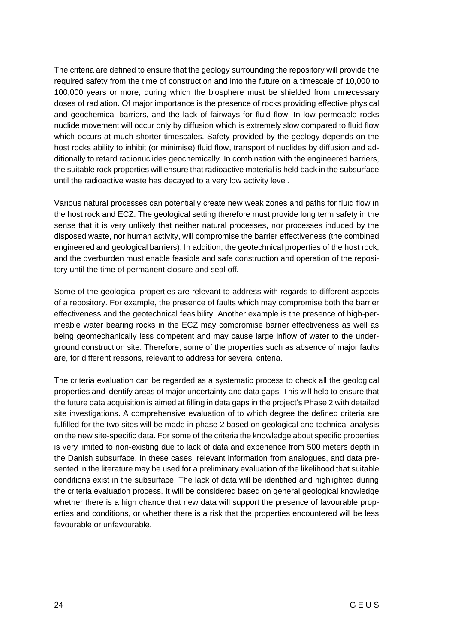The criteria are defined to ensure that the geology surrounding the repository will provide the required safety from the time of construction and into the future on a timescale of 10,000 to 100,000 years or more, during which the biosphere must be shielded from unnecessary doses of radiation. Of major importance is the presence of rocks providing effective physical and geochemical barriers, and the lack of fairways for fluid flow. In low permeable rocks nuclide movement will occur only by diffusion which is extremely slow compared to fluid flow which occurs at much shorter timescales. Safety provided by the geology depends on the host rocks ability to inhibit (or minimise) fluid flow, transport of nuclides by diffusion and additionally to retard radionuclides geochemically. In combination with the engineered barriers, the suitable rock properties will ensure that radioactive material is held back in the subsurface until the radioactive waste has decayed to a very low activity level.

Various natural processes can potentially create new weak zones and paths for fluid flow in the host rock and ECZ. The geological setting therefore must provide long term safety in the sense that it is very unlikely that neither natural processes, nor processes induced by the disposed waste, nor human activity, will compromise the barrier effectiveness (the combined engineered and geological barriers). In addition, the geotechnical properties of the host rock, and the overburden must enable feasible and safe construction and operation of the repository until the time of permanent closure and seal off.

Some of the geological properties are relevant to address with regards to different aspects of a repository. For example, the presence of faults which may compromise both the barrier effectiveness and the geotechnical feasibility. Another example is the presence of high-permeable water bearing rocks in the ECZ may compromise barrier effectiveness as well as being geomechanically less competent and may cause large inflow of water to the underground construction site. Therefore, some of the properties such as absence of major faults are, for different reasons, relevant to address for several criteria.

The criteria evaluation can be regarded as a systematic process to check all the geological properties and identify areas of major uncertainty and data gaps. This will help to ensure that the future data acquisition is aimed at filling in data gaps in the project's Phase 2 with detailed site investigations. A comprehensive evaluation of to which degree the defined criteria are fulfilled for the two sites will be made in phase 2 based on geological and technical analysis on the new site-specific data. For some of the criteria the knowledge about specific properties is very limited to non-existing due to lack of data and experience from 500 meters depth in the Danish subsurface. In these cases, relevant information from analogues, and data presented in the literature may be used for a preliminary evaluation of the likelihood that suitable conditions exist in the subsurface. The lack of data will be identified and highlighted during the criteria evaluation process. It will be considered based on general geological knowledge whether there is a high chance that new data will support the presence of favourable properties and conditions, or whether there is a risk that the properties encountered will be less favourable or unfavourable.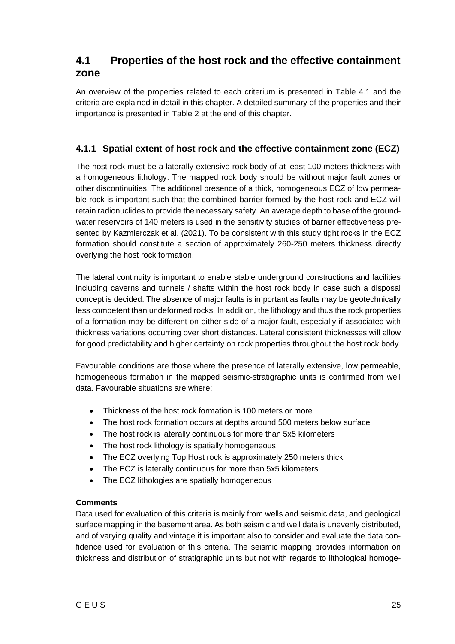### <span id="page-26-0"></span>**4.1 Properties of the host rock and the effective containment zone**

An overview of the properties related to each criterium is presented in Table 4.1 and the criteria are explained in detail in this chapter. A detailed summary of the properties and their importance is presented in Table 2 at the end of this chapter.

### <span id="page-26-1"></span>**4.1.1 Spatial extent of host rock and the effective containment zone (ECZ)**

The host rock must be a laterally extensive rock body of at least 100 meters thickness with a homogeneous lithology. The mapped rock body should be without major fault zones or other discontinuities. The additional presence of a thick, homogeneous ECZ of low permeable rock is important such that the combined barrier formed by the host rock and ECZ will retain radionuclides to provide the necessary safety. An average depth to base of the groundwater reservoirs of 140 meters is used in the sensitivity studies of barrier effectiveness presented by Kazmierczak et al. (2021). To be consistent with this study tight rocks in the ECZ formation should constitute a section of approximately 260-250 meters thickness directly overlying the host rock formation.

The lateral continuity is important to enable stable underground constructions and facilities including caverns and tunnels / shafts within the host rock body in case such a disposal concept is decided. The absence of major faults is important as faults may be geotechnically less competent than undeformed rocks. In addition, the lithology and thus the rock properties of a formation may be different on either side of a major fault, especially if associated with thickness variations occurring over short distances. Lateral consistent thicknesses will allow for good predictability and higher certainty on rock properties throughout the host rock body.

Favourable conditions are those where the presence of laterally extensive, low permeable, homogeneous formation in the mapped seismic-stratigraphic units is confirmed from well data. Favourable situations are where:

- Thickness of the host rock formation is 100 meters or more
- The host rock formation occurs at depths around 500 meters below surface
- The host rock is laterally continuous for more than 5x5 kilometers
- The host rock lithology is spatially homogeneous
- The ECZ overlying Top Host rock is approximately 250 meters thick
- The ECZ is laterally continuous for more than 5x5 kilometers
- The ECZ lithologies are spatially homogeneous

#### **Comments**

Data used for evaluation of this criteria is mainly from wells and seismic data, and geological surface mapping in the basement area. As both seismic and well data is unevenly distributed, and of varying quality and vintage it is important also to consider and evaluate the data confidence used for evaluation of this criteria. The seismic mapping provides information on thickness and distribution of stratigraphic units but not with regards to lithological homoge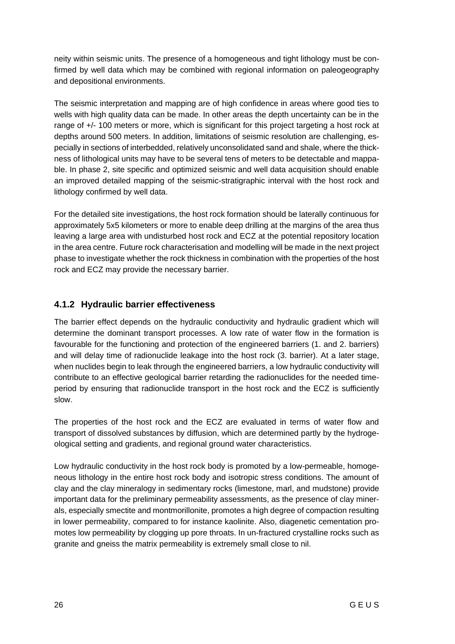neity within seismic units. The presence of a homogeneous and tight lithology must be confirmed by well data which may be combined with regional information on paleogeography and depositional environments.

The seismic interpretation and mapping are of high confidence in areas where good ties to wells with high quality data can be made. In other areas the depth uncertainty can be in the range of +/- 100 meters or more, which is significant for this project targeting a host rock at depths around 500 meters. In addition, limitations of seismic resolution are challenging, especially in sections of interbedded, relatively unconsolidated sand and shale, where the thickness of lithological units may have to be several tens of meters to be detectable and mappable. In phase 2, site specific and optimized seismic and well data acquisition should enable an improved detailed mapping of the seismic-stratigraphic interval with the host rock and lithology confirmed by well data.

For the detailed site investigations, the host rock formation should be laterally continuous for approximately 5x5 kilometers or more to enable deep drilling at the margins of the area thus leaving a large area with undisturbed host rock and ECZ at the potential repository location in the area centre. Future rock characterisation and modelling will be made in the next project phase to investigate whether the rock thickness in combination with the properties of the host rock and ECZ may provide the necessary barrier.

### <span id="page-27-0"></span>**4.1.2 Hydraulic barrier effectiveness**

The barrier effect depends on the hydraulic conductivity and hydraulic gradient which will determine the dominant transport processes. A low rate of water flow in the formation is favourable for the functioning and protection of the engineered barriers (1. and 2. barriers) and will delay time of radionuclide leakage into the host rock (3. barrier). At a later stage, when nuclides begin to leak through the engineered barriers, a low hydraulic conductivity will contribute to an effective geological barrier retarding the radionuclides for the needed timeperiod by ensuring that radionuclide transport in the host rock and the ECZ is sufficiently slow.

The properties of the host rock and the ECZ are evaluated in terms of water flow and transport of dissolved substances by diffusion, which are determined partly by the hydrogeological setting and gradients, and regional ground water characteristics.

Low hydraulic conductivity in the host rock body is promoted by a low-permeable, homogeneous lithology in the entire host rock body and isotropic stress conditions. The amount of clay and the clay mineralogy in sedimentary rocks (limestone, marl, and mudstone) provide important data for the preliminary permeability assessments, as the presence of clay minerals, especially smectite and montmorillonite, promotes a high degree of compaction resulting in lower permeability, compared to for instance kaolinite. Also, diagenetic cementation promotes low permeability by clogging up pore throats. In un-fractured crystalline rocks such as granite and gneiss the matrix permeability is extremely small close to nil.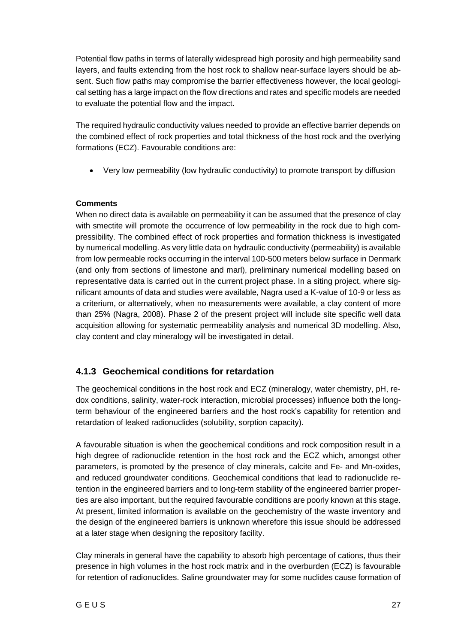Potential flow paths in terms of laterally widespread high porosity and high permeability sand layers, and faults extending from the host rock to shallow near-surface layers should be absent. Such flow paths may compromise the barrier effectiveness however, the local geological setting has a large impact on the flow directions and rates and specific models are needed to evaluate the potential flow and the impact.

The required hydraulic conductivity values needed to provide an effective barrier depends on the combined effect of rock properties and total thickness of the host rock and the overlying formations (ECZ). Favourable conditions are:

• Very low permeability (low hydraulic conductivity) to promote transport by diffusion

#### **Comments**

When no direct data is available on permeability it can be assumed that the presence of clay with smectite will promote the occurrence of low permeability in the rock due to high compressibility. The combined effect of rock properties and formation thickness is investigated by numerical modelling. As very little data on hydraulic conductivity (permeability) is available from low permeable rocks occurring in the interval 100-500 meters below surface in Denmark (and only from sections of limestone and marl), preliminary numerical modelling based on representative data is carried out in the current project phase. In a siting project, where significant amounts of data and studies were available, Nagra used a K-value of 10-9 or less as a criterium, or alternatively, when no measurements were available, a clay content of more than 25% (Nagra, 2008). Phase 2 of the present project will include site specific well data acquisition allowing for systematic permeability analysis and numerical 3D modelling. Also, clay content and clay mineralogy will be investigated in detail.

### <span id="page-28-0"></span>**4.1.3 Geochemical conditions for retardation**

The geochemical conditions in the host rock and ECZ (mineralogy, water chemistry, pH, redox conditions, salinity, water-rock interaction, microbial processes) influence both the longterm behaviour of the engineered barriers and the host rock's capability for retention and retardation of leaked radionuclides (solubility, sorption capacity).

A favourable situation is when the geochemical conditions and rock composition result in a high degree of radionuclide retention in the host rock and the ECZ which, amongst other parameters, is promoted by the presence of clay minerals, calcite and Fe- and Mn-oxides, and reduced groundwater conditions. Geochemical conditions that lead to radionuclide retention in the engineered barriers and to long-term stability of the engineered barrier properties are also important, but the required favourable conditions are poorly known at this stage. At present, limited information is available on the geochemistry of the waste inventory and the design of the engineered barriers is unknown wherefore this issue should be addressed at a later stage when designing the repository facility.

Clay minerals in general have the capability to absorb high percentage of cations, thus their presence in high volumes in the host rock matrix and in the overburden (ECZ) is favourable for retention of radionuclides. Saline groundwater may for some nuclides cause formation of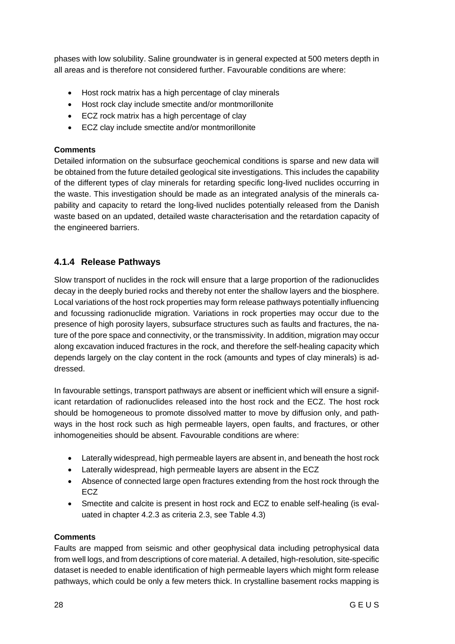phases with low solubility. Saline groundwater is in general expected at 500 meters depth in all areas and is therefore not considered further. Favourable conditions are where:

- Host rock matrix has a high percentage of clay minerals
- Host rock clay include smectite and/or montmorillonite
- ECZ rock matrix has a high percentage of clay
- ECZ clay include smectite and/or montmorillonite

#### **Comments**

Detailed information on the subsurface geochemical conditions is sparse and new data will be obtained from the future detailed geological site investigations. This includes the capability of the different types of clay minerals for retarding specific long-lived nuclides occurring in the waste. This investigation should be made as an integrated analysis of the minerals capability and capacity to retard the long-lived nuclides potentially released from the Danish waste based on an updated, detailed waste characterisation and the retardation capacity of the engineered barriers.

### <span id="page-29-0"></span>**4.1.4 Release Pathways**

Slow transport of nuclides in the rock will ensure that a large proportion of the radionuclides decay in the deeply buried rocks and thereby not enter the shallow layers and the biosphere. Local variations of the host rock properties may form release pathways potentially influencing and focussing radionuclide migration. Variations in rock properties may occur due to the presence of high porosity layers, subsurface structures such as faults and fractures, the nature of the pore space and connectivity, or the transmissivity. In addition, migration may occur along excavation induced fractures in the rock, and therefore the self-healing capacity which depends largely on the clay content in the rock (amounts and types of clay minerals) is addressed.

In favourable settings, transport pathways are absent or inefficient which will ensure a significant retardation of radionuclides released into the host rock and the ECZ. The host rock should be homogeneous to promote dissolved matter to move by diffusion only, and pathways in the host rock such as high permeable layers, open faults, and fractures, or other inhomogeneities should be absent. Favourable conditions are where:

- Laterally widespread, high permeable layers are absent in, and beneath the host rock
- Laterally widespread, high permeable layers are absent in the ECZ
- Absence of connected large open fractures extending from the host rock through the ECZ
- Smectite and calcite is present in host rock and ECZ to enable self-healing (is evaluated in chapter 4.2.3 as criteria 2.3, see Table 4.3)

#### **Comments**

Faults are mapped from seismic and other geophysical data including petrophysical data from well logs, and from descriptions of core material. A detailed, high-resolution, site-specific dataset is needed to enable identification of high permeable layers which might form release pathways, which could be only a few meters thick. In crystalline basement rocks mapping is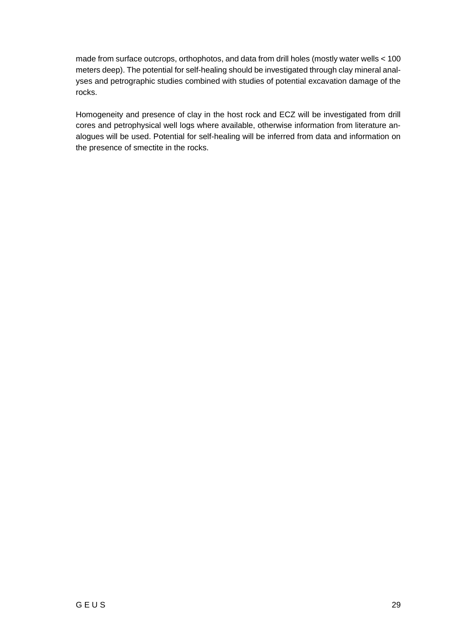made from surface outcrops, orthophotos, and data from drill holes (mostly water wells < 100 meters deep). The potential for self-healing should be investigated through clay mineral analyses and petrographic studies combined with studies of potential excavation damage of the rocks.

Homogeneity and presence of clay in the host rock and ECZ will be investigated from drill cores and petrophysical well logs where available, otherwise information from literature analogues will be used. Potential for self-healing will be inferred from data and information on the presence of smectite in the rocks.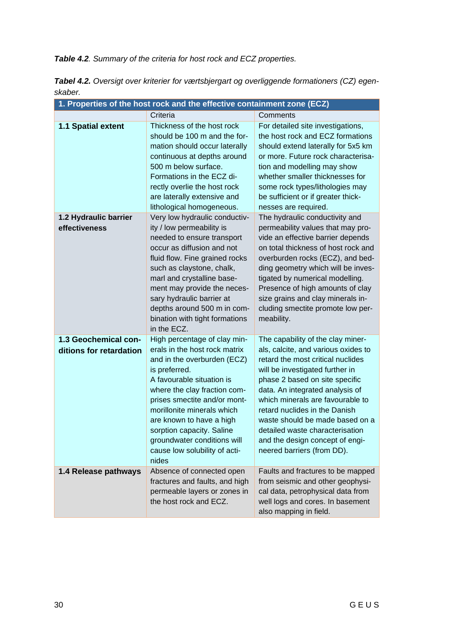*Table 4.2. Summary of the criteria for host rock and ECZ properties.*

| 1. Properties of the host rock and the effective containment zone (ECZ) |                                                                                                                                                                                                                                                                                                                                                                            |                                                                                                                                                                                                                                                                                                                                                                                                                                   |  |
|-------------------------------------------------------------------------|----------------------------------------------------------------------------------------------------------------------------------------------------------------------------------------------------------------------------------------------------------------------------------------------------------------------------------------------------------------------------|-----------------------------------------------------------------------------------------------------------------------------------------------------------------------------------------------------------------------------------------------------------------------------------------------------------------------------------------------------------------------------------------------------------------------------------|--|
|                                                                         | Criteria                                                                                                                                                                                                                                                                                                                                                                   | Comments                                                                                                                                                                                                                                                                                                                                                                                                                          |  |
| 1.1 Spatial extent                                                      | Thickness of the host rock<br>should be 100 m and the for-<br>mation should occur laterally<br>continuous at depths around<br>500 m below surface.<br>Formations in the ECZ di-<br>rectly overlie the host rock<br>are laterally extensive and<br>lithological homogeneous.                                                                                                | For detailed site investigations,<br>the host rock and ECZ formations<br>should extend laterally for 5x5 km<br>or more. Future rock characterisa-<br>tion and modelling may show<br>whether smaller thicknesses for<br>some rock types/lithologies may<br>be sufficient or if greater thick-<br>nesses are required.                                                                                                              |  |
| 1.2 Hydraulic barrier<br>effectiveness                                  | Very low hydraulic conductiv-<br>ity / low permeability is<br>needed to ensure transport<br>occur as diffusion and not<br>fluid flow. Fine grained rocks<br>such as claystone, chalk,<br>marl and crystalline base-<br>ment may provide the neces-<br>sary hydraulic barrier at<br>depths around 500 m in com-<br>bination with tight formations<br>in the ECZ.            | The hydraulic conductivity and<br>permeability values that may pro-<br>vide an effective barrier depends<br>on total thickness of host rock and<br>overburden rocks (ECZ), and bed-<br>ding geometry which will be inves-<br>tigated by numerical modelling.<br>Presence of high amounts of clay<br>size grains and clay minerals in-<br>cluding smectite promote low per-<br>meability.                                          |  |
| 1.3 Geochemical con-<br>ditions for retardation                         | High percentage of clay min-<br>erals in the host rock matrix<br>and in the overburden (ECZ)<br>is preferred.<br>A favourable situation is<br>where the clay fraction com-<br>prises smectite and/or mont-<br>morillonite minerals which<br>are known to have a high<br>sorption capacity. Saline<br>groundwater conditions will<br>cause low solubility of acti-<br>nides | The capability of the clay miner-<br>als, calcite, and various oxides to<br>retard the most critical nuclides<br>will be investigated further in<br>phase 2 based on site specific<br>data. An integrated analysis of<br>which minerals are favourable to<br>retard nuclides in the Danish<br>waste should be made based on a<br>detailed waste characterisation<br>and the design concept of engi-<br>neered barriers (from DD). |  |
| 1.4 Release pathways                                                    | Absence of connected open<br>fractures and faults, and high<br>permeable layers or zones in<br>the host rock and ECZ.                                                                                                                                                                                                                                                      | Faults and fractures to be mapped<br>from seismic and other geophysi-<br>cal data, petrophysical data from<br>well logs and cores. In basement<br>also mapping in field.                                                                                                                                                                                                                                                          |  |

*Tabel 4.2. Oversigt over kriterier for værtsbjergart og overliggende formationers (CZ) egenskaber.*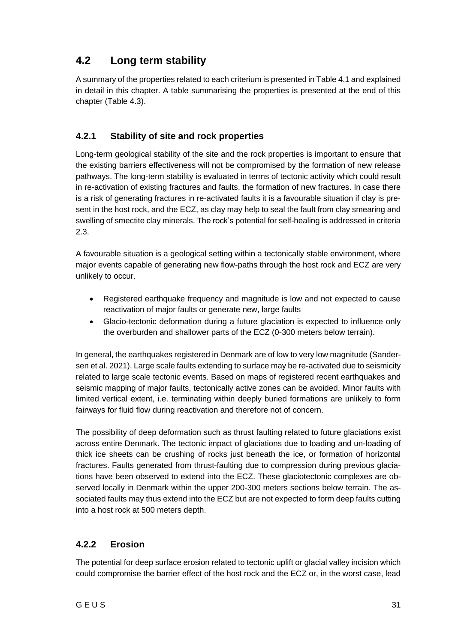### <span id="page-32-0"></span>**4.2 Long term stability**

A summary of the properties related to each criterium is presented in Table 4.1 and explained in detail in this chapter. A table summarising the properties is presented at the end of this chapter (Table 4.3).

### <span id="page-32-1"></span>**4.2.1 Stability of site and rock properties**

Long-term geological stability of the site and the rock properties is important to ensure that the existing barriers effectiveness will not be compromised by the formation of new release pathways. The long-term stability is evaluated in terms of tectonic activity which could result in re-activation of existing fractures and faults, the formation of new fractures. In case there is a risk of generating fractures in re-activated faults it is a favourable situation if clay is present in the host rock, and the ECZ, as clay may help to seal the fault from clay smearing and swelling of smectite clay minerals. The rock's potential for self-healing is addressed in criteria 2.3.

A favourable situation is a geological setting within a tectonically stable environment, where major events capable of generating new flow-paths through the host rock and ECZ are very unlikely to occur.

- Registered earthquake frequency and magnitude is low and not expected to cause reactivation of major faults or generate new, large faults
- Glacio-tectonic deformation during a future glaciation is expected to influence only the overburden and shallower parts of the ECZ (0-300 meters below terrain).

In general, the earthquakes registered in Denmark are of low to very low magnitude (Sandersen et al. 2021). Large scale faults extending to surface may be re-activated due to seismicity related to large scale tectonic events. Based on maps of registered recent earthquakes and seismic mapping of major faults, tectonically active zones can be avoided. Minor faults with limited vertical extent, i.e. terminating within deeply buried formations are unlikely to form fairways for fluid flow during reactivation and therefore not of concern.

The possibility of deep deformation such as thrust faulting related to future glaciations exist across entire Denmark. The tectonic impact of glaciations due to loading and un-loading of thick ice sheets can be crushing of rocks just beneath the ice, or formation of horizontal fractures. Faults generated from thrust-faulting due to compression during previous glaciations have been observed to extend into the ECZ. These glaciotectonic complexes are observed locally in Denmark within the upper 200-300 meters sections below terrain. The associated faults may thus extend into the ECZ but are not expected to form deep faults cutting into a host rock at 500 meters depth.

### <span id="page-32-2"></span>**4.2.2 Erosion**

The potential for deep surface erosion related to tectonic uplift or glacial valley incision which could compromise the barrier effect of the host rock and the ECZ or, in the worst case, lead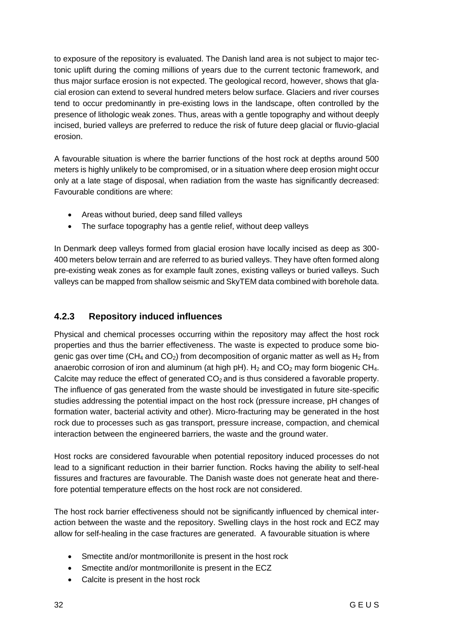to exposure of the repository is evaluated. The Danish land area is not subject to major tectonic uplift during the coming millions of years due to the current tectonic framework, and thus major surface erosion is not expected. The geological record, however, shows that glacial erosion can extend to several hundred meters below surface. Glaciers and river courses tend to occur predominantly in pre-existing lows in the landscape, often controlled by the presence of lithologic weak zones. Thus, areas with a gentle topography and without deeply incised, buried valleys are preferred to reduce the risk of future deep glacial or fluvio-glacial erosion.

A favourable situation is where the barrier functions of the host rock at depths around 500 meters is highly unlikely to be compromised, or in a situation where deep erosion might occur only at a late stage of disposal, when radiation from the waste has significantly decreased: Favourable conditions are where:

- Areas without buried, deep sand filled valleys
- The surface topography has a gentle relief, without deep valleys

In Denmark deep valleys formed from glacial erosion have locally incised as deep as 300- 400 meters below terrain and are referred to as buried valleys. They have often formed along pre-existing weak zones as for example fault zones, existing valleys or buried valleys. Such valleys can be mapped from shallow seismic and SkyTEM data combined with borehole data.

### <span id="page-33-0"></span>**4.2.3 Repository induced influences**

Physical and chemical processes occurring within the repository may affect the host rock properties and thus the barrier effectiveness. The waste is expected to produce some biogenic gas over time (CH<sub>4</sub> and CO<sub>2</sub>) from decomposition of organic matter as well as H<sub>2</sub> from anaerobic corrosion of iron and aluminum (at high  $PH$ ). H<sub>2</sub> and CO<sub>2</sub> may form biogenic CH<sub>4</sub>. Calcite may reduce the effect of generated  $CO<sub>2</sub>$  and is thus considered a favorable property. The influence of gas generated from the waste should be investigated in future site-specific studies addressing the potential impact on the host rock (pressure increase, pH changes of formation water, bacterial activity and other). Micro-fracturing may be generated in the host rock due to processes such as gas transport, pressure increase, compaction, and chemical interaction between the engineered barriers, the waste and the ground water.

Host rocks are considered favourable when potential repository induced processes do not lead to a significant reduction in their barrier function. Rocks having the ability to self-heal fissures and fractures are favourable. The Danish waste does not generate heat and therefore potential temperature effects on the host rock are not considered.

The host rock barrier effectiveness should not be significantly influenced by chemical interaction between the waste and the repository. Swelling clays in the host rock and ECZ may allow for self-healing in the case fractures are generated. A favourable situation is where

- Smectite and/or montmorillonite is present in the host rock
- Smectite and/or montmorillonite is present in the ECZ
- Calcite is present in the host rock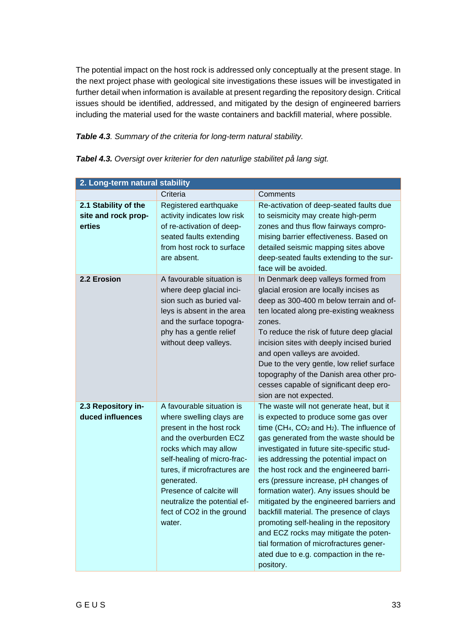The potential impact on the host rock is addressed only conceptually at the present stage. In the next project phase with geological site investigations these issues will be investigated in further detail when information is available at present regarding the repository design. Critical issues should be identified, addressed, and mitigated by the design of engineered barriers including the material used for the waste containers and backfill material, where possible.

*Table 4.3. Summary of the criteria for long-term natural stability.*

|                                                       | 2. Long-term natural stability                                                                                                                                                                                                                                                                                       |                                                                                                                                                                                                                                                                                                                                                                                                                                                                                                                                                                                                                                                                                         |  |  |
|-------------------------------------------------------|----------------------------------------------------------------------------------------------------------------------------------------------------------------------------------------------------------------------------------------------------------------------------------------------------------------------|-----------------------------------------------------------------------------------------------------------------------------------------------------------------------------------------------------------------------------------------------------------------------------------------------------------------------------------------------------------------------------------------------------------------------------------------------------------------------------------------------------------------------------------------------------------------------------------------------------------------------------------------------------------------------------------------|--|--|
|                                                       | Criteria                                                                                                                                                                                                                                                                                                             | Comments                                                                                                                                                                                                                                                                                                                                                                                                                                                                                                                                                                                                                                                                                |  |  |
| 2.1 Stability of the<br>site and rock prop-<br>erties | Registered earthquake<br>activity indicates low risk<br>of re-activation of deep-<br>seated faults extending<br>from host rock to surface<br>are absent.                                                                                                                                                             | Re-activation of deep-seated faults due<br>to seismicity may create high-perm<br>zones and thus flow fairways compro-<br>mising barrier effectiveness. Based on<br>detailed seismic mapping sites above<br>deep-seated faults extending to the sur-<br>face will be avoided.                                                                                                                                                                                                                                                                                                                                                                                                            |  |  |
| 2.2 Erosion                                           | A favourable situation is<br>where deep glacial inci-<br>sion such as buried val-<br>leys is absent in the area<br>and the surface topogra-<br>phy has a gentle relief<br>without deep valleys.                                                                                                                      | In Denmark deep valleys formed from<br>glacial erosion are locally incises as<br>deep as 300-400 m below terrain and of-<br>ten located along pre-existing weakness<br>zones.<br>To reduce the risk of future deep glacial<br>incision sites with deeply incised buried<br>and open valleys are avoided.<br>Due to the very gentle, low relief surface<br>topography of the Danish area other pro-<br>cesses capable of significant deep ero-<br>sion are not expected.                                                                                                                                                                                                                 |  |  |
| 2.3 Repository in-<br>duced influences                | A favourable situation is<br>where swelling clays are<br>present in the host rock<br>and the overburden ECZ<br>rocks which may allow<br>self-healing of micro-frac-<br>tures, if microfractures are<br>generated.<br>Presence of calcite will<br>neutralize the potential ef-<br>fect of CO2 in the ground<br>water. | The waste will not generate heat, but it<br>is expected to produce some gas over<br>time ( $CH_4$ , $CO_2$ and $H_2$ ). The influence of<br>gas generated from the waste should be<br>investigated in future site-specific stud-<br>ies addressing the potential impact on<br>the host rock and the engineered barri-<br>ers (pressure increase, pH changes of<br>formation water). Any issues should be<br>mitigated by the engineered barriers and<br>backfill material. The presence of clays<br>promoting self-healing in the repository<br>and ECZ rocks may mitigate the poten-<br>tial formation of microfractures gener-<br>ated due to e.g. compaction in the re-<br>pository. |  |  |

*Tabel 4.3. Oversigt over kriterier for den naturlige stabilitet på lang sigt.*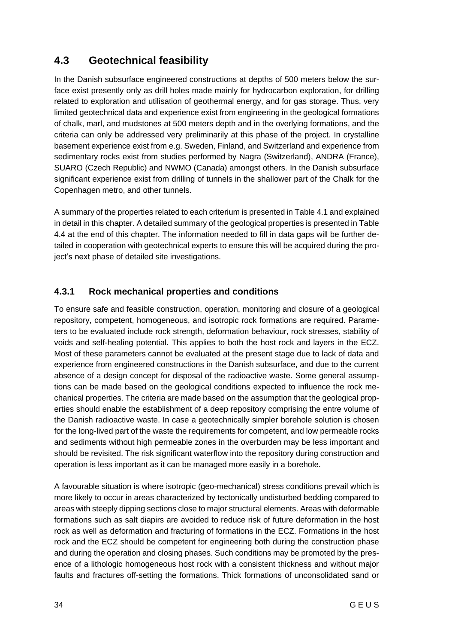### <span id="page-35-0"></span>**4.3 Geotechnical feasibility**

In the Danish subsurface engineered constructions at depths of 500 meters below the surface exist presently only as drill holes made mainly for hydrocarbon exploration, for drilling related to exploration and utilisation of geothermal energy, and for gas storage. Thus, very limited geotechnical data and experience exist from engineering in the geological formations of chalk, marl, and mudstones at 500 meters depth and in the overlying formations, and the criteria can only be addressed very preliminarily at this phase of the project. In crystalline basement experience exist from e.g. Sweden, Finland, and Switzerland and experience from sedimentary rocks exist from studies performed by Nagra (Switzerland), ANDRA (France), SUARO (Czech Republic) and NWMO (Canada) amongst others. In the Danish subsurface significant experience exist from drilling of tunnels in the shallower part of the Chalk for the Copenhagen metro, and other tunnels.

A summary of the properties related to each criterium is presented in Table 4.1 and explained in detail in this chapter. A detailed summary of the geological properties is presented in Table 4.4 at the end of this chapter. The information needed to fill in data gaps will be further detailed in cooperation with geotechnical experts to ensure this will be acquired during the project's next phase of detailed site investigations.

### <span id="page-35-1"></span>**4.3.1 Rock mechanical properties and conditions**

To ensure safe and feasible construction, operation, monitoring and closure of a geological repository, competent, homogeneous, and isotropic rock formations are required. Parameters to be evaluated include rock strength, deformation behaviour, rock stresses, stability of voids and self-healing potential. This applies to both the host rock and layers in the ECZ. Most of these parameters cannot be evaluated at the present stage due to lack of data and experience from engineered constructions in the Danish subsurface, and due to the current absence of a design concept for disposal of the radioactive waste. Some general assumptions can be made based on the geological conditions expected to influence the rock mechanical properties. The criteria are made based on the assumption that the geological properties should enable the establishment of a deep repository comprising the entre volume of the Danish radioactive waste. In case a geotechnically simpler borehole solution is chosen for the long-lived part of the waste the requirements for competent, and low permeable rocks and sediments without high permeable zones in the overburden may be less important and should be revisited. The risk significant waterflow into the repository during construction and operation is less important as it can be managed more easily in a borehole.

A favourable situation is where isotropic (geo-mechanical) stress conditions prevail which is more likely to occur in areas characterized by tectonically undisturbed bedding compared to areas with steeply dipping sections close to major structural elements. Areas with deformable formations such as salt diapirs are avoided to reduce risk of future deformation in the host rock as well as deformation and fracturing of formations in the ECZ. Formations in the host rock and the ECZ should be competent for engineering both during the construction phase and during the operation and closing phases. Such conditions may be promoted by the presence of a lithologic homogeneous host rock with a consistent thickness and without major faults and fractures off-setting the formations. Thick formations of unconsolidated sand or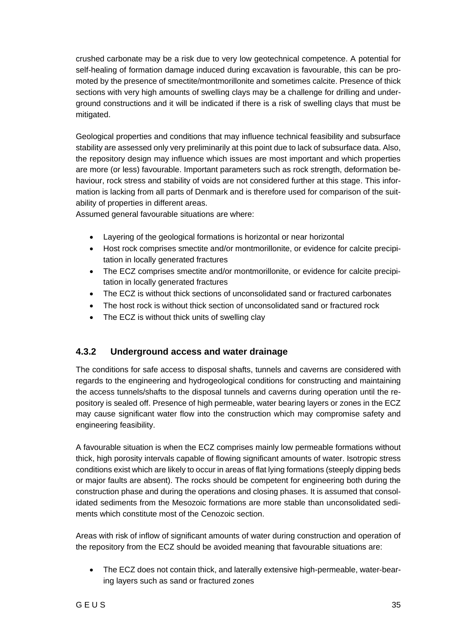crushed carbonate may be a risk due to very low geotechnical competence. A potential for self-healing of formation damage induced during excavation is favourable, this can be promoted by the presence of smectite/montmorillonite and sometimes calcite. Presence of thick sections with very high amounts of swelling clays may be a challenge for drilling and underground constructions and it will be indicated if there is a risk of swelling clays that must be mitigated.

Geological properties and conditions that may influence technical feasibility and subsurface stability are assessed only very preliminarily at this point due to lack of subsurface data. Also, the repository design may influence which issues are most important and which properties are more (or less) favourable. Important parameters such as rock strength, deformation behaviour, rock stress and stability of voids are not considered further at this stage. This information is lacking from all parts of Denmark and is therefore used for comparison of the suitability of properties in different areas.

Assumed general favourable situations are where:

- Layering of the geological formations is horizontal or near horizontal
- Host rock comprises smectite and/or montmorillonite, or evidence for calcite precipitation in locally generated fractures
- The ECZ comprises smectite and/or montmorillonite, or evidence for calcite precipitation in locally generated fractures
- The ECZ is without thick sections of unconsolidated sand or fractured carbonates
- The host rock is without thick section of unconsolidated sand or fractured rock
- <span id="page-36-0"></span>The ECZ is without thick units of swelling clay

### **4.3.2 Underground access and water drainage**

The conditions for safe access to disposal shafts, tunnels and caverns are considered with regards to the engineering and hydrogeological conditions for constructing and maintaining the access tunnels/shafts to the disposal tunnels and caverns during operation until the repository is sealed off. Presence of high permeable, water bearing layers or zones in the ECZ may cause significant water flow into the construction which may compromise safety and engineering feasibility.

A favourable situation is when the ECZ comprises mainly low permeable formations without thick, high porosity intervals capable of flowing significant amounts of water. Isotropic stress conditions exist which are likely to occur in areas of flat lying formations (steeply dipping beds or major faults are absent). The rocks should be competent for engineering both during the construction phase and during the operations and closing phases. It is assumed that consolidated sediments from the Mesozoic formations are more stable than unconsolidated sediments which constitute most of the Cenozoic section.

Areas with risk of inflow of significant amounts of water during construction and operation of the repository from the ECZ should be avoided meaning that favourable situations are:

• The ECZ does not contain thick, and laterally extensive high-permeable, water-bearing layers such as sand or fractured zones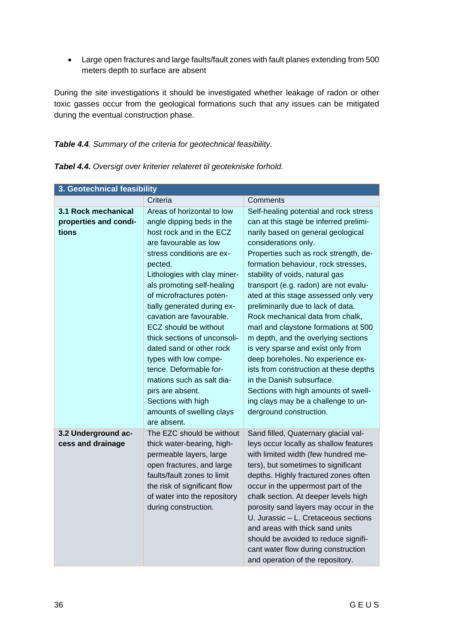• Large open fractures and large faults/fault zones with fault planes extending from 500 meters depth to surface are absent

During the site investigations it should be investigated whether leakage of radon or other toxic gasses occur from the geological formations such that any issues can be mitigated during the eventual construction phase.

### *Table 4.4. Summary of the criteria for geotechnical feasibility.*

| 3. Geotechnical feasibility |                                          |                                        |  |
|-----------------------------|------------------------------------------|----------------------------------------|--|
|                             | Criteria                                 | Comments                               |  |
| 3.1 Rock mechanical         | Areas of horizontal to low               | Self-healing potential and rock stress |  |
| properties and condi-       | angle dipping beds in the                | can at this stage be inferred prelimi- |  |
| tions                       | host rock and in the ECZ                 | narily based on general geological     |  |
|                             | are favourable as low                    | considerations only.                   |  |
|                             | stress conditions are ex-                | Properties such as rock strength, de-  |  |
|                             | pected.                                  | formation behaviour, rock stresses,    |  |
|                             | Lithologies with clay miner-             | stability of voids, natural gas        |  |
|                             | als promoting self-healing               | transport (e.g. radon) are not evalu-  |  |
|                             | of microfractures poten-                 | ated at this stage assessed only very  |  |
|                             | tially generated during ex-              | preliminarily due to lack of data.     |  |
|                             | cavation are favourable.                 | Rock mechanical data from chalk,       |  |
|                             | ECZ should be without                    | marl and claystone formations at 500   |  |
|                             | thick sections of unconsoli-             | m depth, and the overlying sections    |  |
|                             | dated sand or other rock                 | is very sparse and exist only from     |  |
|                             | types with low compe-                    | deep boreholes. No experience ex-      |  |
|                             | tence. Deformable for-                   | ists from construction at these depths |  |
|                             | mations such as salt dia-                | in the Danish subsurface.              |  |
|                             | pirs are absent.                         | Sections with high amounts of swell-   |  |
|                             | Sections with high                       | ing clays may be a challenge to un-    |  |
|                             | amounts of swelling clays<br>are absent. | derground construction.                |  |
| 3.2 Underground ac-         | The EZC should be without                | Sand filled, Quaternary glacial val-   |  |
| cess and drainage           | thick water-bearing, high-               | leys occur locally as shallow features |  |
|                             | permeable layers, large                  | with limited width (few hundred me-    |  |
|                             | open fractures, and large                | ters), but sometimes to significant    |  |
|                             | faults/fault zones to limit              | depths. Highly fractured zones often   |  |
|                             | the risk of significant flow             | occur in the uppermost part of the     |  |
|                             | of water into the repository             | chalk section. At deeper levels high   |  |
|                             | during construction.                     | porosity sand layers may occur in the  |  |
|                             |                                          | U. Jurassic - L. Cretaceous sections   |  |
|                             |                                          | and areas with thick sand units        |  |
|                             |                                          | should be avoided to reduce signifi-   |  |
|                             |                                          | cant water flow during construction    |  |
|                             |                                          | and operation of the repository.       |  |

*Tabel 4.4. Oversigt over kriterier relateret til geotekniske forhold.*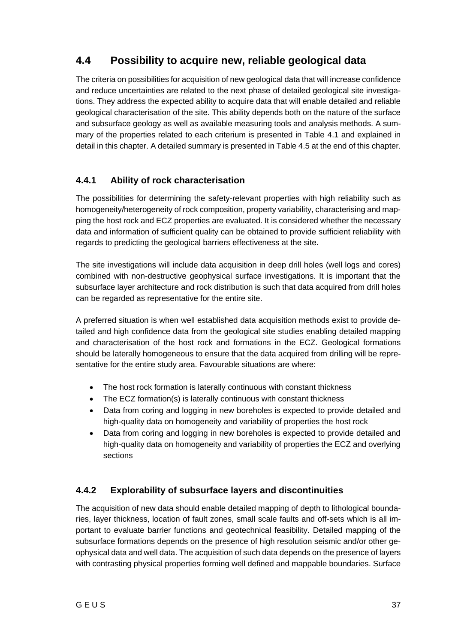### <span id="page-38-0"></span>**4.4 Possibility to acquire new, reliable geological data**

The criteria on possibilities for acquisition of new geological data that will increase confidence and reduce uncertainties are related to the next phase of detailed geological site investigations. They address the expected ability to acquire data that will enable detailed and reliable geological characterisation of the site. This ability depends both on the nature of the surface and subsurface geology as well as available measuring tools and analysis methods. A summary of the properties related to each criterium is presented in Table 4.1 and explained in detail in this chapter. A detailed summary is presented in Table 4.5 at the end of this chapter.

### <span id="page-38-1"></span>**4.4.1 Ability of rock characterisation**

The possibilities for determining the safety-relevant properties with high reliability such as homogeneity/heterogeneity of rock composition, property variability, characterising and mapping the host rock and ECZ properties are evaluated. It is considered whether the necessary data and information of sufficient quality can be obtained to provide sufficient reliability with regards to predicting the geological barriers effectiveness at the site.

The site investigations will include data acquisition in deep drill holes (well logs and cores) combined with non-destructive geophysical surface investigations. It is important that the subsurface layer architecture and rock distribution is such that data acquired from drill holes can be regarded as representative for the entire site.

A preferred situation is when well established data acquisition methods exist to provide detailed and high confidence data from the geological site studies enabling detailed mapping and characterisation of the host rock and formations in the ECZ. Geological formations should be laterally homogeneous to ensure that the data acquired from drilling will be representative for the entire study area. Favourable situations are where:

- The host rock formation is laterally continuous with constant thickness
- The ECZ formation(s) is laterally continuous with constant thickness
- Data from coring and logging in new boreholes is expected to provide detailed and high-quality data on homogeneity and variability of properties the host rock
- Data from coring and logging in new boreholes is expected to provide detailed and high-quality data on homogeneity and variability of properties the ECZ and overlying sections

### <span id="page-38-2"></span>**4.4.2 Explorability of subsurface layers and discontinuities**

The acquisition of new data should enable detailed mapping of depth to lithological boundaries, layer thickness, location of fault zones, small scale faults and off-sets which is all important to evaluate barrier functions and geotechnical feasibility. Detailed mapping of the subsurface formations depends on the presence of high resolution seismic and/or other geophysical data and well data. The acquisition of such data depends on the presence of layers with contrasting physical properties forming well defined and mappable boundaries. Surface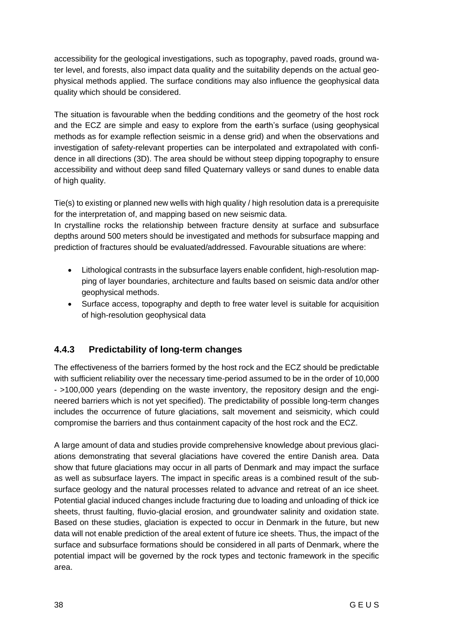accessibility for the geological investigations, such as topography, paved roads, ground water level, and forests, also impact data quality and the suitability depends on the actual geophysical methods applied. The surface conditions may also influence the geophysical data quality which should be considered.

The situation is favourable when the bedding conditions and the geometry of the host rock and the ECZ are simple and easy to explore from the earth's surface (using geophysical methods as for example reflection seismic in a dense grid) and when the observations and investigation of safety-relevant properties can be interpolated and extrapolated with confidence in all directions (3D). The area should be without steep dipping topography to ensure accessibility and without deep sand filled Quaternary valleys or sand dunes to enable data of high quality.

Tie(s) to existing or planned new wells with high quality / high resolution data is a prerequisite for the interpretation of, and mapping based on new seismic data.

In crystalline rocks the relationship between fracture density at surface and subsurface depths around 500 meters should be investigated and methods for subsurface mapping and prediction of fractures should be evaluated/addressed. Favourable situations are where:

- Lithological contrasts in the subsurface layers enable confident, high-resolution mapping of layer boundaries, architecture and faults based on seismic data and/or other geophysical methods.
- Surface access, topography and depth to free water level is suitable for acquisition of high-resolution geophysical data

### <span id="page-39-0"></span>**4.4.3 Predictability of long-term changes**

The effectiveness of the barriers formed by the host rock and the ECZ should be predictable with sufficient reliability over the necessary time-period assumed to be in the order of 10,000 - >100,000 years (depending on the waste inventory, the repository design and the engineered barriers which is not yet specified). The predictability of possible long-term changes includes the occurrence of future glaciations, salt movement and seismicity, which could compromise the barriers and thus containment capacity of the host rock and the ECZ.

A large amount of data and studies provide comprehensive knowledge about previous glaciations demonstrating that several glaciations have covered the entire Danish area. Data show that future glaciations may occur in all parts of Denmark and may impact the surface as well as subsurface layers. The impact in specific areas is a combined result of the subsurface geology and the natural processes related to advance and retreat of an ice sheet. Potential glacial induced changes include fracturing due to loading and unloading of thick ice sheets, thrust faulting, fluvio-glacial erosion, and groundwater salinity and oxidation state. Based on these studies, glaciation is expected to occur in Denmark in the future, but new data will not enable prediction of the areal extent of future ice sheets. Thus, the impact of the surface and subsurface formations should be considered in all parts of Denmark, where the potential impact will be governed by the rock types and tectonic framework in the specific area.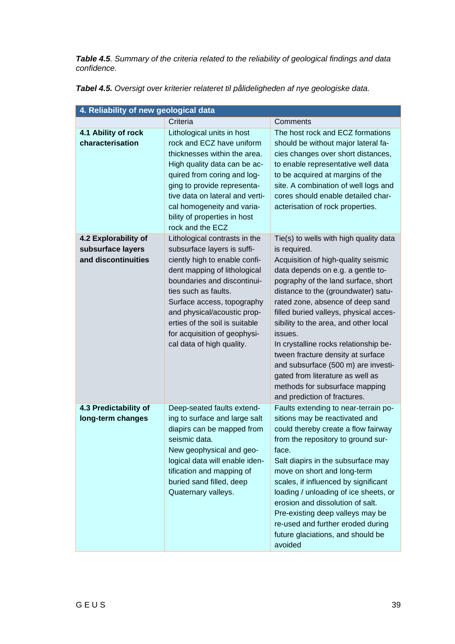*Table 4.5. Summary of the criteria related to the reliability of geological findings and data confidence.*

| 4. Reliability of new geological data                            |                                                                                                                                                                                                                                                                                                                                                  |                                                                                                                                                                                                                                                                                                                                                                                                                                                                                                                                                                               |  |
|------------------------------------------------------------------|--------------------------------------------------------------------------------------------------------------------------------------------------------------------------------------------------------------------------------------------------------------------------------------------------------------------------------------------------|-------------------------------------------------------------------------------------------------------------------------------------------------------------------------------------------------------------------------------------------------------------------------------------------------------------------------------------------------------------------------------------------------------------------------------------------------------------------------------------------------------------------------------------------------------------------------------|--|
|                                                                  | Criteria                                                                                                                                                                                                                                                                                                                                         | Comments                                                                                                                                                                                                                                                                                                                                                                                                                                                                                                                                                                      |  |
| 4.1 Ability of rock<br>characterisation                          | Lithological units in host<br>rock and ECZ have uniform<br>thicknesses within the area.<br>High quality data can be ac-<br>quired from coring and log-<br>ging to provide representa-<br>tive data on lateral and verti-<br>cal homogeneity and varia-<br>bility of properties in host<br>rock and the ECZ                                       | The host rock and ECZ formations<br>should be without major lateral fa-<br>cies changes over short distances,<br>to enable representative well data<br>to be acquired at margins of the<br>site. A combination of well logs and<br>cores should enable detailed char-<br>acterisation of rock properties.                                                                                                                                                                                                                                                                     |  |
| 4.2 Explorability of<br>subsurface layers<br>and discontinuities | Lithological contrasts in the<br>subsurface layers is suffi-<br>ciently high to enable confi-<br>dent mapping of lithological<br>boundaries and discontinui-<br>ties such as faults.<br>Surface access, topography<br>and physical/acoustic prop-<br>erties of the soil is suitable<br>for acquisition of geophysi-<br>cal data of high quality. | Tie(s) to wells with high quality data<br>is required.<br>Acquisition of high-quality seismic<br>data depends on e.g. a gentle to-<br>pography of the land surface, short<br>distance to the (groundwater) satu-<br>rated zone, absence of deep sand<br>filled buried valleys, physical acces-<br>sibility to the area, and other local<br>issues.<br>In crystalline rocks relationship be-<br>tween fracture density at surface<br>and subsurface (500 m) are investi-<br>gated from literature as well as<br>methods for subsurface mapping<br>and prediction of fractures. |  |
| 4.3 Predictability of<br>long-term changes                       | Deep-seated faults extend-<br>ing to surface and large salt<br>diapirs can be mapped from<br>seismic data.<br>New geophysical and geo-<br>logical data will enable iden-<br>tification and mapping of<br>buried sand filled, deep<br>Quaternary valleys.                                                                                         | Faults extending to near-terrain po-<br>sitions may be reactivated and<br>could thereby create a flow fairway<br>from the repository to ground sur-<br>face.<br>Salt diapirs in the subsurface may<br>move on short and long-term<br>scales, if influenced by significant<br>loading / unloading of ice sheets, or<br>erosion and dissolution of salt.<br>Pre-existing deep valleys may be<br>re-used and further eroded during<br>future glaciations, and should be<br>avoided                                                                                               |  |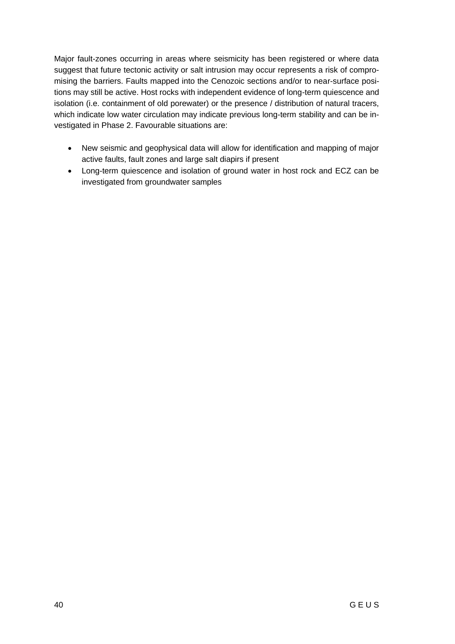Major fault-zones occurring in areas where seismicity has been registered or where data suggest that future tectonic activity or salt intrusion may occur represents a risk of compromising the barriers. Faults mapped into the Cenozoic sections and/or to near-surface positions may still be active. Host rocks with independent evidence of long-term quiescence and isolation (i.e. containment of old porewater) or the presence / distribution of natural tracers, which indicate low water circulation may indicate previous long-term stability and can be investigated in Phase 2. Favourable situations are:

- New seismic and geophysical data will allow for identification and mapping of major active faults, fault zones and large salt diapirs if present
- Long-term quiescence and isolation of ground water in host rock and ECZ can be investigated from groundwater samples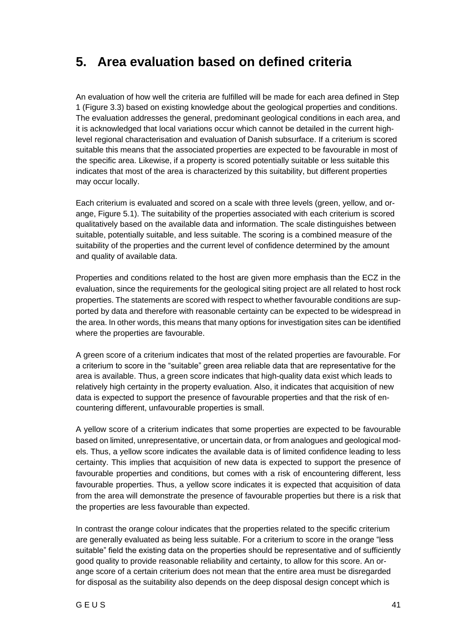# <span id="page-42-0"></span>**5. Area evaluation based on defined criteria**

An evaluation of how well the criteria are fulfilled will be made for each area defined in Step 1 (Figure 3.3) based on existing knowledge about the geological properties and conditions. The evaluation addresses the general, predominant geological conditions in each area, and it is acknowledged that local variations occur which cannot be detailed in the current highlevel regional characterisation and evaluation of Danish subsurface. If a criterium is scored suitable this means that the associated properties are expected to be favourable in most of the specific area. Likewise, if a property is scored potentially suitable or less suitable this indicates that most of the area is characterized by this suitability, but different properties may occur locally.

Each criterium is evaluated and scored on a scale with three levels (green, yellow, and orange, Figure 5.1). The suitability of the properties associated with each criterium is scored qualitatively based on the available data and information. The scale distinguishes between suitable, potentially suitable, and less suitable. The scoring is a combined measure of the suitability of the properties and the current level of confidence determined by the amount and quality of available data.

Properties and conditions related to the host are given more emphasis than the ECZ in the evaluation, since the requirements for the geological siting project are all related to host rock properties. The statements are scored with respect to whether favourable conditions are supported by data and therefore with reasonable certainty can be expected to be widespread in the area. In other words, this means that many options for investigation sites can be identified where the properties are favourable.

A green score of a criterium indicates that most of the related properties are favourable. For a criterium to score in the "suitable" green area reliable data that are representative for the area is available. Thus, a green score indicates that high-quality data exist which leads to relatively high certainty in the property evaluation. Also, it indicates that acquisition of new data is expected to support the presence of favourable properties and that the risk of encountering different, unfavourable properties is small.

A yellow score of a criterium indicates that some properties are expected to be favourable based on limited, unrepresentative, or uncertain data, or from analogues and geological models. Thus, a yellow score indicates the available data is of limited confidence leading to less certainty. This implies that acquisition of new data is expected to support the presence of favourable properties and conditions, but comes with a risk of encountering different, less favourable properties. Thus, a yellow score indicates it is expected that acquisition of data from the area will demonstrate the presence of favourable properties but there is a risk that the properties are less favourable than expected.

In contrast the orange colour indicates that the properties related to the specific criterium are generally evaluated as being less suitable. For a criterium to score in the orange "less suitable" field the existing data on the properties should be representative and of sufficiently good quality to provide reasonable reliability and certainty, to allow for this score. An orange score of a certain criterium does not mean that the entire area must be disregarded for disposal as the suitability also depends on the deep disposal design concept which is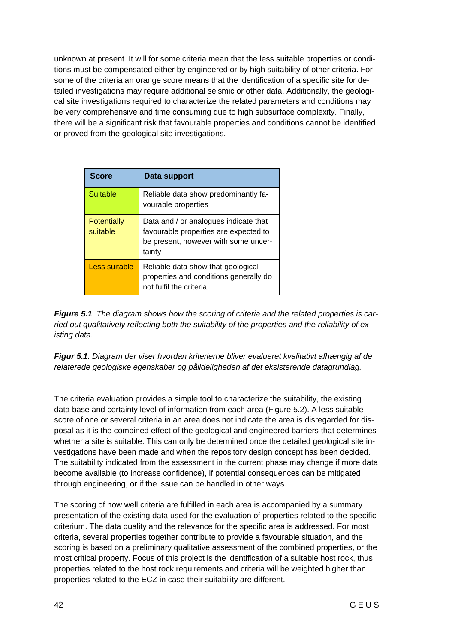unknown at present. It will for some criteria mean that the less suitable properties or conditions must be compensated either by engineered or by high suitability of other criteria. For some of the criteria an orange score means that the identification of a specific site for detailed investigations may require additional seismic or other data. Additionally, the geological site investigations required to characterize the related parameters and conditions may be very comprehensive and time consuming due to high subsurface complexity. Finally, there will be a significant risk that favourable properties and conditions cannot be identified or proved from the geological site investigations.

| <b>Score</b>            | Data support                                                                                                                     |  |
|-------------------------|----------------------------------------------------------------------------------------------------------------------------------|--|
| Suitable                | Reliable data show predominantly fa-<br>vourable properties                                                                      |  |
| Potentially<br>suitable | Data and / or analogues indicate that<br>favourable properties are expected to<br>be present, however with some uncer-<br>tainty |  |
| Less suitable           | Reliable data show that geological<br>properties and conditions generally do<br>not fulfil the criteria.                         |  |

*Figure 5.1. The diagram shows how the scoring of criteria and the related properties is carried out qualitatively reflecting both the suitability of the properties and the reliability of existing data.* 

*Figur 5.1. Diagram der viser hvordan kriterierne bliver evalueret kvalitativt afhængig af de relaterede geologiske egenskaber og pålideligheden af det eksisterende datagrundlag.* 

The criteria evaluation provides a simple tool to characterize the suitability, the existing data base and certainty level of information from each area (Figure 5.2). A less suitable score of one or several criteria in an area does not indicate the area is disregarded for disposal as it is the combined effect of the geological and engineered barriers that determines whether a site is suitable. This can only be determined once the detailed geological site investigations have been made and when the repository design concept has been decided. The suitability indicated from the assessment in the current phase may change if more data become available (to increase confidence), if potential consequences can be mitigated through engineering, or if the issue can be handled in other ways.

The scoring of how well criteria are fulfilled in each area is accompanied by a summary presentation of the existing data used for the evaluation of properties related to the specific criterium. The data quality and the relevance for the specific area is addressed. For most criteria, several properties together contribute to provide a favourable situation, and the scoring is based on a preliminary qualitative assessment of the combined properties, or the most critical property. Focus of this project is the identification of a suitable host rock, thus properties related to the host rock requirements and criteria will be weighted higher than properties related to the ECZ in case their suitability are different.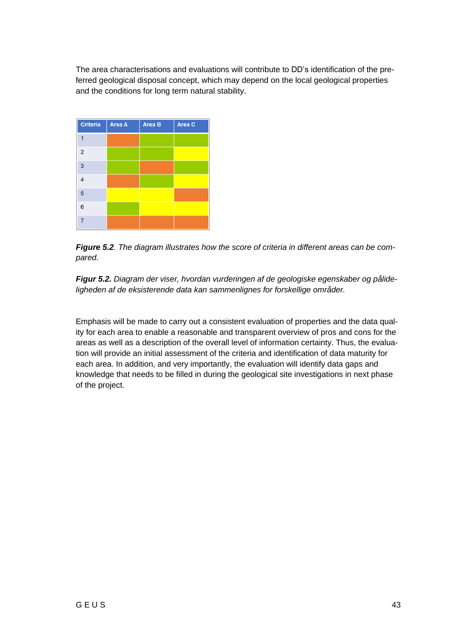The area characterisations and evaluations will contribute to DD's identification of the preferred geological disposal concept, which may depend on the local geological properties and the conditions for long term natural stability.

| <b>Criteria</b> | Area A | Area B | Area C |
|-----------------|--------|--------|--------|
| 1               |        |        |        |
| $\overline{2}$  |        |        |        |
| 3               |        |        |        |
| $\overline{4}$  |        |        |        |
| 5               |        |        |        |
| $6\phantom{1}6$ |        |        |        |
| $\overline{7}$  |        |        |        |

*Figure 5.2. The diagram illustrates how the score of criteria in different areas can be compared.*



Emphasis will be made to carry out a consistent evaluation of properties and the data quality for each area to enable a reasonable and transparent overview of pros and cons for the areas as well as a description of the overall level of information certainty. Thus, the evaluation will provide an initial assessment of the criteria and identification of data maturity for each area. In addition, and very importantly, the evaluation will identify data gaps and knowledge that needs to be filled in during the geological site investigations in next phase of the project.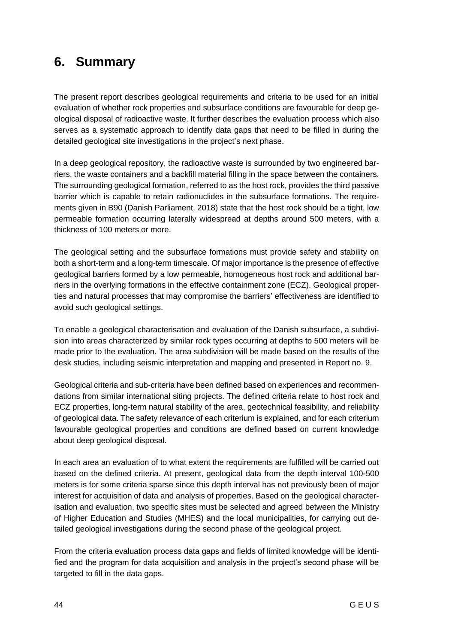# <span id="page-45-0"></span>**6. Summary**

The present report describes geological requirements and criteria to be used for an initial evaluation of whether rock properties and subsurface conditions are favourable for deep geological disposal of radioactive waste. It further describes the evaluation process which also serves as a systematic approach to identify data gaps that need to be filled in during the detailed geological site investigations in the project's next phase.

In a deep geological repository, the radioactive waste is surrounded by two engineered barriers, the waste containers and a backfill material filling in the space between the containers. The surrounding geological formation, referred to as the host rock, provides the third passive barrier which is capable to retain radionuclides in the subsurface formations. The requirements given in B90 (Danish Parliament, 2018) state that the host rock should be a tight, low permeable formation occurring laterally widespread at depths around 500 meters, with a thickness of 100 meters or more.

The geological setting and the subsurface formations must provide safety and stability on both a short-term and a long-term timescale. Of major importance is the presence of effective geological barriers formed by a low permeable, homogeneous host rock and additional barriers in the overlying formations in the effective containment zone (ECZ). Geological properties and natural processes that may compromise the barriers' effectiveness are identified to avoid such geological settings.

To enable a geological characterisation and evaluation of the Danish subsurface, a subdivision into areas characterized by similar rock types occurring at depths to 500 meters will be made prior to the evaluation. The area subdivision will be made based on the results of the desk studies, including seismic interpretation and mapping and presented in Report no. 9.

Geological criteria and sub-criteria have been defined based on experiences and recommendations from similar international siting projects. The defined criteria relate to host rock and ECZ properties, long-term natural stability of the area, geotechnical feasibility, and reliability of geological data. The safety relevance of each criterium is explained, and for each criterium favourable geological properties and conditions are defined based on current knowledge about deep geological disposal.

In each area an evaluation of to what extent the requirements are fulfilled will be carried out based on the defined criteria. At present, geological data from the depth interval 100-500 meters is for some criteria sparse since this depth interval has not previously been of major interest for acquisition of data and analysis of properties. Based on the geological characterisation and evaluation, two specific sites must be selected and agreed between the Ministry of Higher Education and Studies (MHES) and the local municipalities, for carrying out detailed geological investigations during the second phase of the geological project.

From the criteria evaluation process data gaps and fields of limited knowledge will be identified and the program for data acquisition and analysis in the project's second phase will be targeted to fill in the data gaps.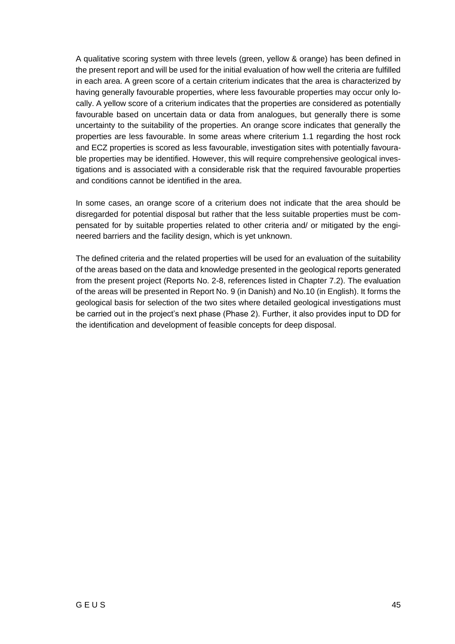A qualitative scoring system with three levels (green, yellow & orange) has been defined in the present report and will be used for the initial evaluation of how well the criteria are fulfilled in each area. A green score of a certain criterium indicates that the area is characterized by having generally favourable properties, where less favourable properties may occur only locally. A yellow score of a criterium indicates that the properties are considered as potentially favourable based on uncertain data or data from analogues, but generally there is some uncertainty to the suitability of the properties. An orange score indicates that generally the properties are less favourable. In some areas where criterium 1.1 regarding the host rock and ECZ properties is scored as less favourable, investigation sites with potentially favourable properties may be identified. However, this will require comprehensive geological investigations and is associated with a considerable risk that the required favourable properties and conditions cannot be identified in the area.

In some cases, an orange score of a criterium does not indicate that the area should be disregarded for potential disposal but rather that the less suitable properties must be compensated for by suitable properties related to other criteria and/ or mitigated by the engineered barriers and the facility design, which is yet unknown.

The defined criteria and the related properties will be used for an evaluation of the suitability of the areas based on the data and knowledge presented in the geological reports generated from the present project (Reports No. 2-8, references listed in Chapter 7.2). The evaluation of the areas will be presented in Report No. 9 (in Danish) and No.10 (in English). It forms the geological basis for selection of the two sites where detailed geological investigations must be carried out in the project's next phase (Phase 2). Further, it also provides input to DD for the identification and development of feasible concepts for deep disposal.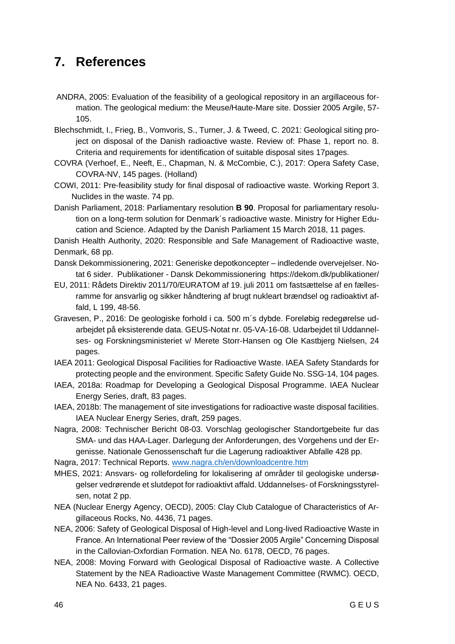# <span id="page-47-0"></span>**7. References**

- ANDRA, 2005: Evaluation of the feasibility of a geological repository in an argillaceous formation. The geological medium: the Meuse/Haute-Mare site. Dossier 2005 Argile, 57- 105.
- Blechschmidt, I., Frieg, B., Vomvoris, S., Turner, J. & Tweed, C. 2021: Geological siting project on disposal of the Danish radioactive waste. Review of: Phase 1, report no. 8. Criteria and requirements for identification of suitable disposal sites 17pages.
- COVRA (Verhoef, E., Neeft, E., Chapman, N. & McCombie, C.), 2017: Opera Safety Case, COVRA-NV, 145 pages. (Holland)
- COWI, 2011: Pre-feasibility study for final disposal of radioactive waste. Working Report 3. Nuclides in the waste. 74 pp.
- Danish Parliament, 2018: Parliamentary resolution **B 90**. Proposal for parliamentary resolution on a long-term solution for Denmark´s radioactive waste. Ministry for Higher Education and Science. Adapted by the Danish Parliament 15 March 2018, 11 pages.

Danish Health Authority, 2020: Responsible and Safe Management of Radioactive waste, Denmark, 68 pp.

- Dansk Dekommissionering, 2021: Generiske depotkoncepter indledende overvejelser. Notat 6 sider. Publikationer - Dansk Dekommissionering https://dekom.dk/publikationer/
- EU, 2011: Rådets Direktiv 2011/70/EURATOM af 19. juli 2011 om fastsættelse af en fællesramme for ansvarlig og sikker håndtering af brugt nukleart brændsel og radioaktivt affald, L 199, 48-56.
- Gravesen, P., 2016: De geologiske forhold i ca. 500 m´s dybde. Foreløbig redegørelse udarbejdet på eksisterende data. GEUS-Notat nr. 05-VA-16-08. Udarbejdet til Uddannelses- og Forskningsministeriet v/ Merete Storr-Hansen og Ole Kastbjerg Nielsen, 24 pages.
- IAEA 2011: Geological Disposal Facilities for Radioactive Waste. IAEA Safety Standards for protecting people and the environment. Specific Safety Guide No. SSG-14, 104 pages.
- IAEA, 2018a: Roadmap for Developing a Geological Disposal Programme. IAEA Nuclear Energy Series, draft, 83 pages.
- IAEA, 2018b: The management of site investigations for radioactive waste disposal facilities. IAEA Nuclear Energy Series, draft, 259 pages.
- Nagra, 2008: Technischer Bericht 08-03. Vorschlag geologischer Standortgebeite fur das SMA- und das HAA-Lager. Darlegung der Anforderungen, des Vorgehens und der Ergenisse. Nationale Genossenschaft fur die Lagerung radioaktiver Abfalle 428 pp.
- Nagra, 2017: Technical Reports. [www.nagra.ch/en/downloadcentre.htm](http://www.nagra.ch/en/downloadcentre.htm)
- MHES, 2021: Ansvars- og rollefordeling for lokalisering af områder til geologiske undersøgelser vedrørende et slutdepot for radioaktivt affald. Uddannelses- of Forskningsstyrelsen, notat 2 pp.
- NEA (Nuclear Energy Agency, OECD), 2005: Clay Club Catalogue of Characteristics of Argillaceous Rocks, No. 4436, 71 pages.
- NEA, 2006: Safety of Geological Disposal of High-level and Long-lived Radioactive Waste in France. An International Peer review of the "Dossier 2005 Argile" Concerning Disposal in the Callovian-Oxfordian Formation. NEA No. 6178, OECD, 76 pages.
- NEA, 2008: Moving Forward with Geological Disposal of Radioactive waste. A Collective Statement by the NEA Radioactive Waste Management Committee (RWMC). OECD, NEA No. 6433, 21 pages.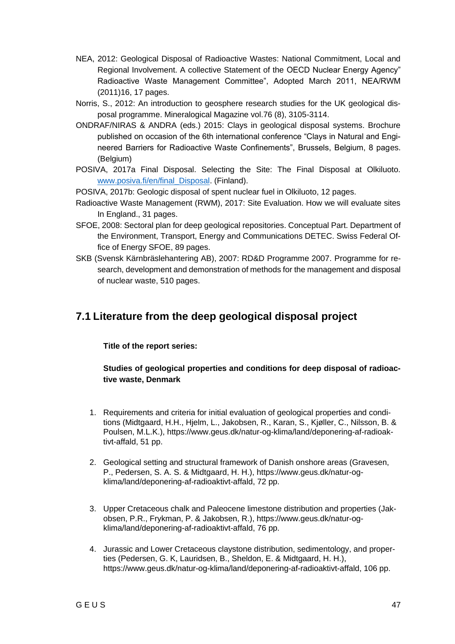- NEA, 2012: Geological Disposal of Radioactive Wastes: National Commitment, Local and Regional Involvement. A collective Statement of the OECD Nuclear Energy Agency" Radioactive Waste Management Committee", Adopted March 2011, NEA/RWM (2011)16, 17 pages.
- Norris, S., 2012: An introduction to geosphere research studies for the UK geological disposal programme. Mineralogical Magazine vol.76 (8), 3105-3114.
- ONDRAF/NIRAS & ANDRA (eds.) 2015: Clays in geological disposal systems. Brochure published on occasion of the 6th international conference "Clays in Natural and Engineered Barriers for Radioactive Waste Confinements", Brussels, Belgium, 8 pages. (Belgium)
- POSIVA, 2017a Final Disposal. Selecting the Site: The Final Disposal at Olkiluoto. [www.posiva.fi/en/final\\_Disposal.](http://www.posiva.fi/en/final_Disposal) (Finland).

POSIVA, 2017b: Geologic disposal of spent nuclear fuel in Olkiluoto, 12 pages.

- Radioactive Waste Management (RWM), 2017: Site Evaluation. How we will evaluate sites In England., 31 pages.
- SFOE, 2008: Sectoral plan for deep geological repositories. Conceptual Part. Department of the Environment, Transport, Energy and Communications DETEC. Swiss Federal Office of Energy SFOE, 89 pages.
- SKB (Svensk Kärnbräslehantering AB), 2007: RD&D Programme 2007. Programme for research, development and demonstration of methods for the management and disposal of nuclear waste, 510 pages.

### <span id="page-48-0"></span>**7.1 Literature from the deep geological disposal project**

#### **Title of the report series:**

#### **Studies of geological properties and conditions for deep disposal of radioactive waste, Denmark**

- 1. Requirements and criteria for initial evaluation of geological properties and conditions (Midtgaard, H.H., Hjelm, L., Jakobsen, R., Karan, S., Kjøller, C., Nilsson, B. & Poulsen, M.L.K.), https://www.geus.dk/natur-og-klima/land/deponering-af-radioaktivt-affald, 51 pp.
- 2. Geological setting and structural framework of Danish onshore areas (Gravesen, P., Pedersen, S. A. S. & Midtgaard, H. H.), https://www.geus.dk/natur-ogklima/land/deponering-af-radioaktivt-affald, 72 pp.
- 3. Upper Cretaceous chalk and Paleocene limestone distribution and properties (Jakobsen, P.R., Frykman, P. & Jakobsen, R.), https://www.geus.dk/natur-ogklima/land/deponering-af-radioaktivt-affald, 76 pp.
- 4. Jurassic and Lower Cretaceous claystone distribution, sedimentology, and properties (Pedersen, G. K, Lauridsen, B., Sheldon, E. & Midtgaard, H. H.), https://www.geus.dk/natur-og-klima/land/deponering-af-radioaktivt-affald, 106 pp.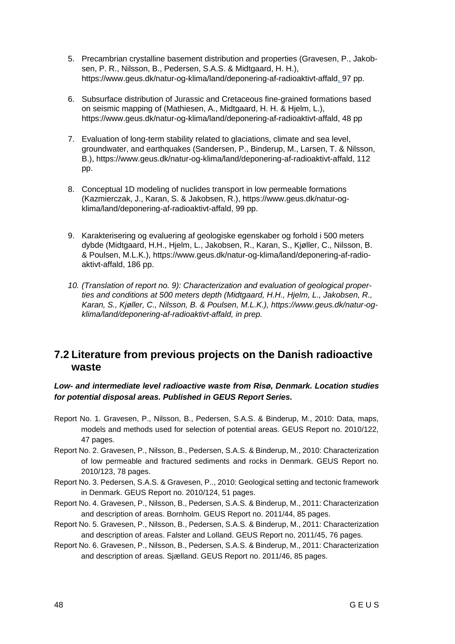- 5. Precambrian crystalline basement distribution and properties (Gravesen, P., Jakobsen, P. R., Nilsson, B., Pedersen, S.A.S. & Midtgaard, H. H.), https://www.geus.dk/natur-og-klima/land/deponering-af-radioaktivt-affald, 97 pp.
- 6. Subsurface distribution of Jurassic and Cretaceous fine-grained formations based on seismic mapping of (Mathiesen, A., Midtgaard, H. H. & Hjelm, L.), https://www.geus.dk/natur-og-klima/land/deponering-af-radioaktivt-affald, 48 pp
- 7. Evaluation of long-term stability related to glaciations, climate and sea level, groundwater, and earthquakes (Sandersen, P., Binderup, M., Larsen, T. & Nilsson, B.), https://www.geus.dk/natur-og-klima/land/deponering-af-radioaktivt-affald, 112 pp.
- 8. Conceptual 1D modeling of nuclides transport in low permeable formations (Kazmierczak, J., Karan, S. & Jakobsen, R.), https://www.geus.dk/natur-ogklima/land/deponering-af-radioaktivt-affald, 99 pp.
- 9. Karakterisering og evaluering af geologiske egenskaber og forhold i 500 meters dybde (Midtgaard, H.H., Hjelm, L., Jakobsen, R., Karan, S., Kjøller, C., Nilsson, B. & Poulsen, M.L.K.), https://www.geus.dk/natur-og-klima/land/deponering-af-radioaktivt-affald, 186 pp.
- *10. (Translation of report no. 9): Characterization and evaluation of geological properties and conditions at 500 meters depth (Midtgaard, H.H., Hjelm, L., Jakobsen, R., Karan, S., Kjøller, C., Nilsson, B. & Poulsen, M.L.K.), https://www.geus.dk/natur-ogklima/land/deponering-af-radioaktivt-affald, in prep.*

### <span id="page-49-0"></span>**7.2 Literature from previous projects on the Danish radioactive waste**

#### *Low- and intermediate level radioactive waste from Risø, Denmark. Location studies for potential disposal areas. Published in GEUS Report Series.*

- Report No. 1. Gravesen, P., Nilsson, B., Pedersen, S.A.S. & Binderup, M., 2010: Data, maps, models and methods used for selection of potential areas. GEUS Report no. 2010/122, 47 pages.
- Report No. 2. Gravesen, P., Nilsson, B., Pedersen, S.A.S. & Binderup, M., 2010: Characterization of low permeable and fractured sediments and rocks in Denmark. GEUS Report no. 2010/123, 78 pages.
- Report No. 3. Pedersen, S.A.S. & Gravesen, P.., 2010: Geological setting and tectonic framework in Denmark. GEUS Report no. 2010/124, 51 pages.
- Report No. 4. Gravesen, P., Nilsson, B., Pedersen, S.A.S. & Binderup, M., 2011: Characterization and description of areas. Bornholm. GEUS Report no. 2011/44, 85 pages.
- Report No. 5. Gravesen, P., Nilsson, B., Pedersen, S.A.S. & Binderup, M., 2011: Characterization and description of areas. Falster and Lolland. GEUS Report no, 2011/45, 76 pages.
- Report No. 6. Gravesen, P., Nilsson, B., Pedersen, S.A.S. & Binderup, M., 2011: Characterization and description of areas. Sjælland. GEUS Report no. 2011/46, 85 pages.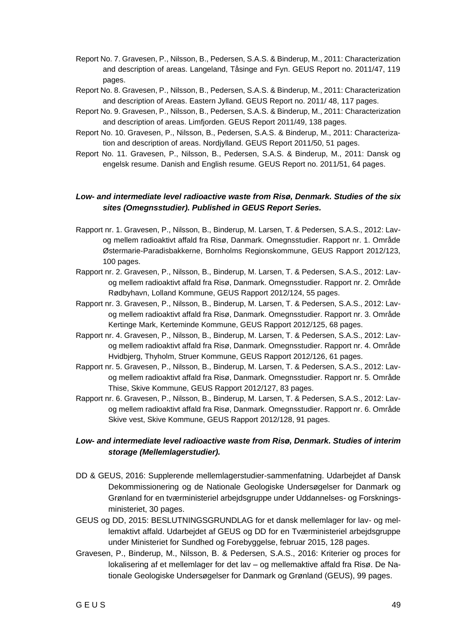- Report No. 7. Gravesen, P., Nilsson, B., Pedersen, S.A.S. & Binderup, M., 2011: Characterization and description of areas. Langeland, Tåsinge and Fyn. GEUS Report no. 2011/47, 119 pages.
- Report No. 8. Gravesen, P., Nilsson, B., Pedersen, S.A.S. & Binderup, M., 2011: Characterization and description of Areas. Eastern Jylland. GEUS Report no. 2011/ 48, 117 pages.
- Report No. 9. Gravesen, P., Nilsson, B., Pedersen, S.A.S. & Binderup, M., 2011: Characterization and description of areas. Limfjorden. GEUS Report 2011/49, 138 pages.
- Report No. 10. Gravesen, P., Nilsson, B., Pedersen, S.A.S. & Binderup, M., 2011: Characterization and description of areas. Nordjylland. GEUS Report 2011/50, 51 pages.
- Report No. 11. Gravesen, P., Nilsson, B., Pedersen, S.A.S. & Binderup, M., 2011: Dansk og engelsk resume. Danish and English resume. GEUS Report no. 2011/51, 64 pages.

#### *Low- and intermediate level radioactive waste from Risø, Denmark. Studies of the six sites (Omegnsstudier). Published in GEUS Report Series.*

- Rapport nr. 1. Gravesen, P., Nilsson, B., Binderup, M. Larsen, T. & Pedersen, S.A.S., 2012: Lavog mellem radioaktivt affald fra Risø, Danmark. Omegnsstudier. Rapport nr. 1. Område Østermarie-Paradisbakkerne, Bornholms Regionskommune, GEUS Rapport 2012/123, 100 pages.
- Rapport nr. 2. Gravesen, P., Nilsson, B., Binderup, M. Larsen, T. & Pedersen, S.A.S., 2012: Lavog mellem radioaktivt affald fra Risø, Danmark. Omegnsstudier. Rapport nr. 2. Område Rødbyhavn, Lolland Kommune, GEUS Rapport 2012/124, 55 pages.
- Rapport nr. 3. Gravesen, P., Nilsson, B., Binderup, M. Larsen, T. & Pedersen, S.A.S., 2012: Lavog mellem radioaktivt affald fra Risø, Danmark. Omegnsstudier. Rapport nr. 3. Område Kertinge Mark, Kerteminde Kommune, GEUS Rapport 2012/125, 68 pages.
- Rapport nr. 4. Gravesen, P., Nilsson, B., Binderup, M. Larsen, T. & Pedersen, S.A.S., 2012: Lavog mellem radioaktivt affald fra Risø, Danmark. Omegnsstudier. Rapport nr. 4. Område Hvidbjerg, Thyholm, Struer Kommune, GEUS Rapport 2012/126, 61 pages.
- Rapport nr. 5. Gravesen, P., Nilsson, B., Binderup, M. Larsen, T. & Pedersen, S.A.S., 2012: Lavog mellem radioaktivt affald fra Risø, Danmark. Omegnsstudier. Rapport nr. 5. Område Thise, Skive Kommune, GEUS Rapport 2012/127, 83 pages.
- Rapport nr. 6. Gravesen, P., Nilsson, B., Binderup, M. Larsen, T. & Pedersen, S.A.S., 2012: Lavog mellem radioaktivt affald fra Risø, Danmark. Omegnsstudier. Rapport nr. 6. Område Skive vest, Skive Kommune, GEUS Rapport 2012/128, 91 pages.

#### *Low- and intermediate level radioactive waste from Risø, Denmark. Studies of interim storage (Mellemlagerstudier).*

- DD & GEUS, 2016: Supplerende mellemlagerstudier-sammenfatning. Udarbejdet af Dansk Dekommissionering og de Nationale Geologiske Undersøgelser for Danmark og Grønland for en tværministeriel arbejdsgruppe under Uddannelses- og Forskningsministeriet, 30 pages.
- GEUS og DD, 2015: BESLUTNINGSGRUNDLAG for et dansk mellemlager for lav- og mellemaktivt affald. Udarbejdet af GEUS og DD for en Tværministeriel arbejdsgruppe under Ministeriet for Sundhed og Forebyggelse, februar 2015, 128 pages.
- Gravesen, P., Binderup, M., Nilsson, B. & Pedersen, S.A.S., 2016: Kriterier og proces for lokalisering af et mellemlager for det lav – og mellemaktive affald fra Risø. De Nationale Geologiske Undersøgelser for Danmark og Grønland (GEUS), 99 pages.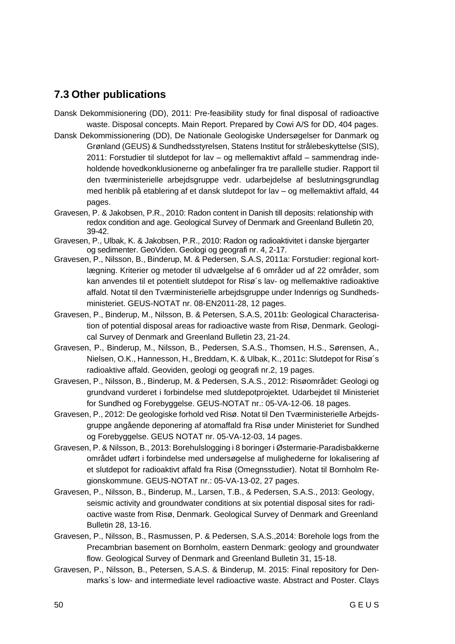### <span id="page-51-0"></span>**7.3 Other publications**

- Dansk Dekommisionering (DD), 2011: Pre-feasibility study for final disposal of radioactive waste. Disposal concepts. Main Report. Prepared by Cowi A/S for DD, 404 pages.
- Dansk Dekommissionering (DD), De Nationale Geologiske Undersøgelser for Danmark og Grønland (GEUS) & Sundhedsstyrelsen, Statens Institut for strålebeskyttelse (SIS), 2011: Forstudier til slutdepot for lav – og mellemaktivt affald – sammendrag indeholdende hovedkonklusionerne og anbefalinger fra tre parallelle studier. Rapport til den tværministerielle arbejdsgruppe vedr. udarbejdelse af beslutningsgrundlag med henblik på etablering af et dansk slutdepot for lav – og mellemaktivt affald, 44 pages.
- Gravesen, P. & Jakobsen, P.R., 2010: Radon content in Danish till deposits: relationship with redox condition and age. Geological Survey of Denmark and Greenland Bulletin 20, 39-42.
- Gravesen, P., Ulbak, K. & Jakobsen, P.R., 2010: Radon og radioaktivitet i danske bjergarter og sedimenter. GeoViden. Geologi og geografi nr. 4, 2-17.
- Gravesen, P., Nilsson, B., Binderup, M. & Pedersen, S.A.S, 2011a: Forstudier: regional kortlægning. Kriterier og metoder til udvælgelse af 6 områder ud af 22 områder, som kan anvendes til et potentielt slutdepot for Risø´s lav- og mellemaktive radioaktive affald. Notat til den Tværministerielle arbejdsgruppe under Indenrigs og Sundhedsministeriet. GEUS-NOTAT nr. 08-EN2011-28, 12 pages.
- Gravesen, P., Binderup, M., Nilsson, B. & Petersen, S.A.S, 2011b: Geological Characterisation of potential disposal areas for radioactive waste from Risø, Denmark. Geological Survey of Denmark and Greenland Bulletin 23, 21-24.
- Gravesen, P., Binderup, M., Nilsson, B., Pedersen, S.A.S., Thomsen, H.S., Sørensen, A., Nielsen, O.K., Hannesson, H., Breddam, K. & Ulbak, K., 2011c: Slutdepot for Risø´s radioaktive affald. Geoviden, geologi og geografi nr.2, 19 pages.
- Gravesen, P., Nilsson, B., Binderup, M. & Pedersen, S.A.S., 2012: Risøområdet: Geologi og grundvand vurderet i forbindelse med slutdepotprojektet. Udarbejdet til Ministeriet for Sundhed og Forebyggelse. GEUS-NOTAT nr.: 05-VA-12-06. 18 pages.
- Gravesen, P., 2012: De geologiske forhold ved Risø. Notat til Den Tværministerielle Arbejdsgruppe angående deponering af atomaffald fra Risø under Ministeriet for Sundhed og Forebyggelse. GEUS NOTAT nr. 05-VA-12-03, 14 pages.
- Gravesen, P. & Nilsson, B., 2013: Borehulslogging i 8 boringer i Østermarie-Paradisbakkerne området udført i forbindelse med undersøgelse af mulighederne for lokalisering af et slutdepot for radioaktivt affald fra Risø (Omegnsstudier). Notat til Bornholm Regionskommune. GEUS-NOTAT nr.: 05-VA-13-02, 27 pages.
- Gravesen, P., Nilsson, B., Binderup, M., Larsen, T.B., & Pedersen, S.A.S., 2013: Geology, seismic activity and groundwater conditions at six potential disposal sites for radioactive waste from Risø, Denmark. Geological Survey of Denmark and Greenland Bulletin 28, 13-16.
- Gravesen, P., Nilsson, B., Rasmussen, P. & Pedersen, S.A.S.,2014: Borehole logs from the Precambrian basement on Bornholm, eastern Denmark: geology and groundwater flow. Geological Survey of Denmark and Greenland Bulletin 31, 15-18.
- Gravesen, P., Nilsson, B., Petersen, S.A.S. & Binderup, M. 2015: Final repository for Denmarks´s low- and intermediate level radioactive waste. Abstract and Poster. Clays